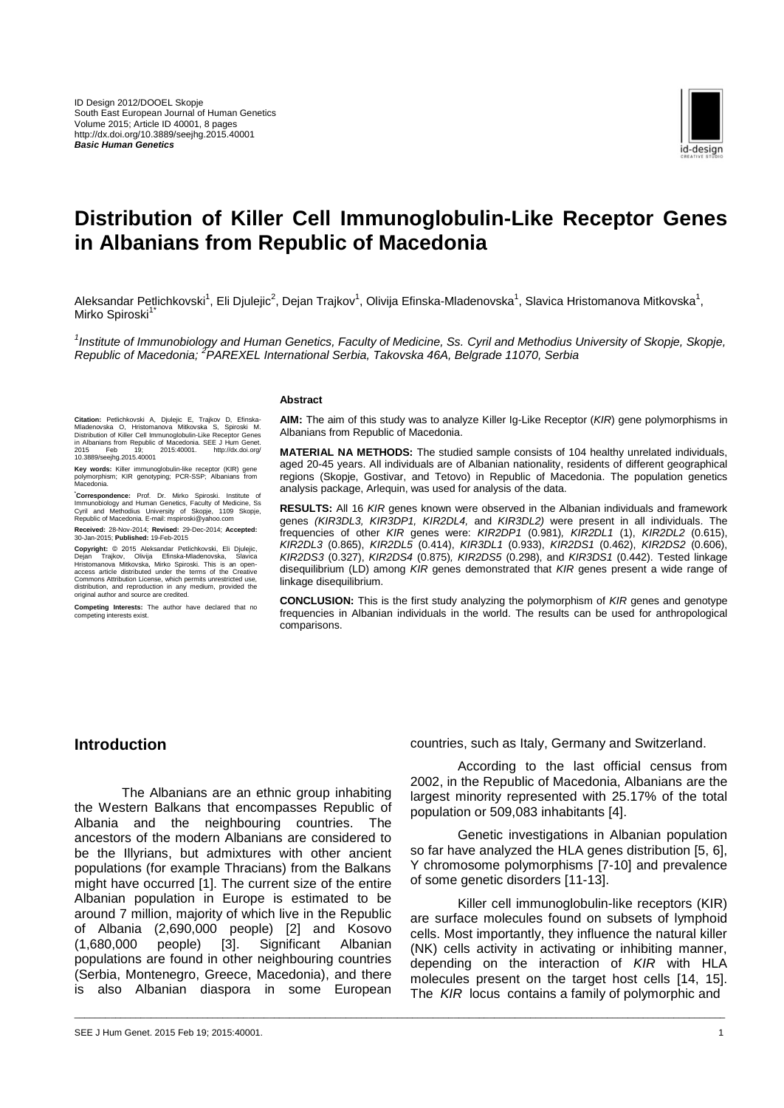

# **Distribution of Killer Cell Immunoglobulin-Like Receptor Genes in Albanians from Republic of Macedonia**

Aleksandar Petlichkovski<sup>1</sup>, Eli Djulejic<sup>2</sup>, Dejan Trajkov<sup>1</sup>, Olivija Efinska-Mladenovska<sup>1</sup>, Slavica Hristomanova Mitkovska<sup>1</sup>, Mirko Spiroski<sup>1</sup>

<sup>1</sup> Institute of Immunobiology and Human Genetics, Faculty of Medicine, Ss. Cyril and Methodius University of Skopje, Skopje, *Republic of Macedonia; <sup>2</sup> PAREXEL International Serbia, Takovska 46A, Belgrade 11070, Serbia*

\_\_\_\_\_\_\_\_\_\_\_\_\_\_\_\_\_\_\_\_\_\_\_\_\_\_\_\_\_\_\_\_\_\_\_\_\_\_\_\_\_\_\_\_\_\_\_\_\_\_\_\_\_\_\_\_\_\_\_\_\_\_\_\_\_\_\_\_\_\_\_\_\_\_\_\_\_\_\_\_\_\_\_\_\_\_\_\_\_\_\_\_\_\_\_\_\_\_\_\_\_\_\_\_\_\_\_\_\_\_\_\_\_\_\_\_\_\_\_\_\_\_\_\_\_\_\_

#### **Abstract**

Citation: Petlichkovski A, Djulejic E, Trajkov D, Efinska-<br>Mladenovska O, Hristomanova Mitkovska S, Spiroski M.<br>Distribution of Killer Cell Immunoglobulin-Like Receptor Genes<br>in Albanians from Republic of Macedonia. SEE J

**Key words:** Killer immunoglobulin-like receptor (KIR) gene polymorphism; KIR genotyping; PCR-SSP; Albanians from Macedonia.

**\*Correspondence:** Prof. Dr. Mirko Spiroski. Institute of Immunobiology and Human Genetics, Faculty of Medicine, Ss Cyril and Methodius University of Skopje, 1109 Skopje, Republic of Macedonia. E-mail: mspiroski@yahoo.com

**Received:** 28-Nov-2014; **Revised:** 29-Dec-2014; **Accepted:** 30-Jan-2015; **Published:** 19-Feb-2015

Copyright: © 2015 Aleksandar Petichkovski, Eli Djulejic, Copyright: © 2015 Aleksandar Petichkovski, Slavica<br>Dejan Trajkov, Olivija Efinska-Mladenovska, Slavica<br>Artstomanova Mitkovska, Mirko Spiroski. This is an open-access

**Competing Interests:** The author have declared that no competing interests exist.

**AIM:** The aim of this study was to analyze Killer Ig-Like Receptor (*KIR*) gene polymorphisms in Albanians from Republic of Macedonia.

**MATERIAL NA METHODS:** The studied sample consists of 104 healthy unrelated individuals, aged 20-45 years. All individuals are of Albanian nationality, residents of different geographical regions (Skopje, Gostivar, and Tetovo) in Republic of Macedonia. The population genetics analysis package, Arlequin, was used for analysis of the data.

**RESULTS:** All 16 *KIR* genes known were observed in the Albanian individuals and framework genes *(KIR3DL3, KIR3DP1, KIR2DL4,* and *KIR3DL2)* were present in all individuals. The frequencies of other *KIR* genes were: *KIR2DP1* (0.981)*, KIR2DL1* (1), *KIR2DL2* (0.615), *KIR2DL3* (0.865), *KIR2DL5* (0.414), *KIR3DL1* (0.933), *KIR2DS1* (0.462), *KIR2DS2* (0.606), *KIR2DS3* (0.327), *KIR2DS4* (0.875)*, KIR2DS5* (0.298), and *KIR3DS1* (0.442). Tested linkage disequilibrium (LD) among *KIR* genes demonstrated that *KIR* genes present a wide range of linkage disequilibrium.

**CONCLUSION:** This is the first study analyzing the polymorphism of *KIR* genes and genotype frequencies in Albanian individuals in the world. The results can be used for anthropological comparisons.

### **Introduction**

The Albanians are an ethnic group inhabiting the Western Balkans that encompasses Republic of Albania and the neighbouring countries. The ancestors of the modern Albanians are considered to be the Illyrians, but admixtures with other ancient populations (for example Thracians) from the Balkans might have occurred [1]. The current size of the entire Albanian population in Europe is estimated to be around 7 million, majority of which live in the Republic of Albania (2,690,000 people) [2] and Kosovo (1,680,000 people) [3]. Significant Albanian populations are found in other neighbouring countries (Serbia, Montenegro, Greece, Macedonia), and there is also Albanian diaspora in some European

According to the last official census from 2002, in the Republic of Macedonia, Albanians are the largest minority represented with 25.17% of the total population or 509,083 inhabitants [4].

Genetic investigations in Albanian population so far have analyzed the HLA genes distribution [5, 6], Y chromosome polymorphisms [7-10] and prevalence of some genetic disorders [11-13].

Killer cell immunoglobulin-like receptors (KIR) are surface molecules found on subsets of lymphoid cells. Most importantly, they influence the natural killer (NK) cells activity in activating or inhibiting manner, depending on the interaction of *KIR* with HLA molecules present on the target host cells [14, 15]. The *KIR* locus contains a family of polymorphic and

countries, such as Italy, Germany and Switzerland.

SEE J Hum Genet. 2015 Feb 19; 2015:40001. 1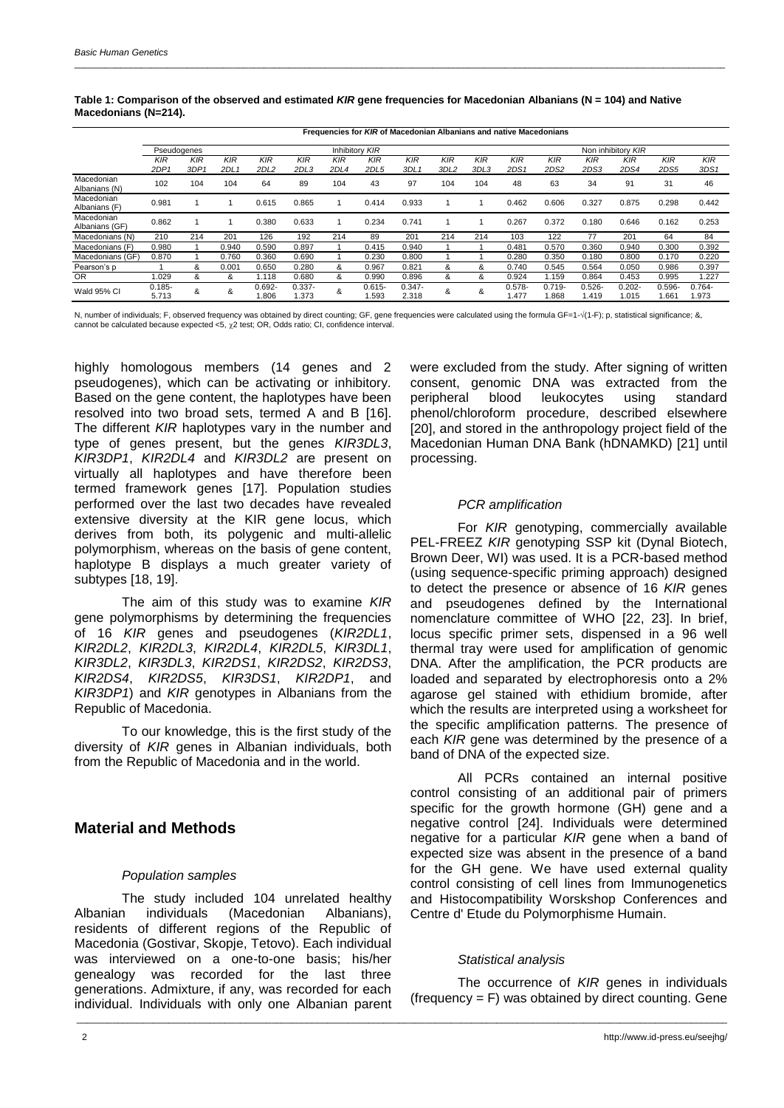|                              |                                | Frequencies for KIR of Macedonian Albanians and native Macedonians |             |                   |                    |             |                    |                         |             |             |                                |                    |                    |                    |                    |                    |  |
|------------------------------|--------------------------------|--------------------------------------------------------------------|-------------|-------------------|--------------------|-------------|--------------------|-------------------------|-------------|-------------|--------------------------------|--------------------|--------------------|--------------------|--------------------|--------------------|--|
|                              | Inhibitory KIR<br>Pseudogenes  |                                                                    |             |                   |                    |             |                    |                         |             |             |                                |                    |                    | Non inhibitory KIR |                    |                    |  |
|                              | <b>KIR</b><br>2DP <sub>1</sub> | <b>KIR</b><br>3DP1                                                 | KIR<br>2DL: | KIR<br>2DL2       | <b>KIR</b><br>2DL3 | KIR<br>2DL4 | KIR<br>2DL5        | KIR<br>3DL <sub>1</sub> | KIR<br>3DL2 | KIR<br>3DL3 | <b>KIR</b><br>2DS <sub>1</sub> | $K$ IR<br>2DS2     | KIR<br>2DS3        | KIR<br>2DS4        | <b>KIR</b><br>2DS5 | <b>KIR</b><br>3DS1 |  |
| Macedonian<br>Albanians (N)  | 102                            | 104                                                                | 104         | 64                | 89                 | 104         | 43                 | 97                      | 104         | 104         | 48                             | 63                 | 34                 | 91                 | 31                 | 46                 |  |
| Macedonian<br>Albanians (F)  | 0.981                          |                                                                    |             | 0.615             | 0.865              |             | 0.414              | 0.933                   |             |             | 0.462                          | 0.606              | 0.327              | 0.875              | 0.298              | 0.442              |  |
| Macedonian<br>Albanians (GF) | 0.862                          |                                                                    |             | 0.380             | 0.633              |             | 0.234              | 0.741                   |             |             | 0.267                          | 0.372              | 0.180              | 0.646              | 0.162              | 0.253              |  |
| Macedonians (N)              | 210                            | 214                                                                | 201         | 126               | 192                | 214         | 89                 | 201                     | 214         | 214         | 103                            | 122                | 77                 | 201                | 64                 | 84                 |  |
| Macedonians (F)              | 0.980                          |                                                                    | 0.940       | 0.590             | 0.897              |             | 0.415              | 0.940                   |             |             | 0.481                          | 0.570              | 0.360              | 0.940              | 0.300              | 0.392              |  |
| Macedonians (GF)             | 0.870                          |                                                                    | 0.760       | 0.360             | 0.690              |             | 0.230              | 0.800                   |             |             | 0.280                          | 0.350              | 0.180              | 0.800              | 0.170              | 0.220              |  |
| Pearson's p                  |                                | &                                                                  | 0.001       | 0.650             | 0.280              | &           | 0.967              | 0.821                   | &           | &           | 0.740                          | 0.545              | 0.564              | 0.050              | 0.986              | 0.397              |  |
| <b>OR</b>                    | 1.029                          | &                                                                  | &           | 1.118             | 0.680              | &           | 0.990              | 0.896                   | &           | &           | 0.924                          | 1.159              | 0.864              | 0.453              | 0.995              | 1.227              |  |
| Wald 95% CI                  | $0.185 -$<br>5.713             | &                                                                  | &           | $0.692 -$<br>806. | $0.337 -$<br>.373  | &           | $0.615 -$<br>1.593 | $0.347 -$<br>2.318      | &           | &           | $0.578 -$<br>i.477             | $0.719 -$<br>1.868 | $0.526 -$<br>1.419 | $0.202 -$<br>1.015 | $0.596 -$<br>1.661 | $0.764 -$<br>.973  |  |

#### **Table 1: Comparison of the observed and estimated** *KIR* **gene frequencies for Macedonian Albanians (N = 104) and Native Macedonians (N=214).**

\_\_\_\_\_\_\_\_\_\_\_\_\_\_\_\_\_\_\_\_\_\_\_\_\_\_\_\_\_\_\_\_\_\_\_\_\_\_\_\_\_\_\_\_\_\_\_\_\_\_\_\_\_\_\_\_\_\_\_\_\_\_\_\_\_\_\_\_\_\_\_\_\_\_\_\_\_\_\_\_\_\_\_\_\_\_\_\_\_\_\_\_\_\_\_\_\_\_\_\_\_\_\_\_\_\_\_\_\_\_\_\_\_\_\_\_\_\_\_\_\_\_\_\_\_\_\_

N, number of individuals; F, observed frequency was obtained by direct counting; GF, gene frequencies were calculated using the formula GF=1- $\sqrt{(1-F)}$ ; p, statistical significance; &, cannot be calculated because expected <5, 2 test; OR, Odds ratio; CI, confidence interval.

highly homologous members (14 genes and 2 pseudogenes), which can be activating or inhibitory. Based on the gene content, the haplotypes have been resolved into two broad sets, termed A and B [16]. The different *KIR* haplotypes vary in the number and type of genes present, but the genes *KIR3DL3*, *KIR3DP1*, *KIR2DL4* and *KIR3DL2* are present on virtually all haplotypes and have therefore been termed framework genes [17]. Population studies performed over the last two decades have revealed extensive diversity at the KIR gene locus, which derives from both, its polygenic and multi-allelic polymorphism, whereas on the basis of gene content, haplotype B displays a much greater variety of subtypes [18, 19].

The aim of this study was to examine *KIR* gene polymorphisms by determining the frequencies of 16 *KIR* genes and pseudogenes (*KIR2DL1*, *KIR2DL2*, *KIR2DL3*, *KIR2DL4*, *KIR2DL5*, *KIR3DL1*, *KIR3DL2*, *KIR3DL3*, *KIR2DS1*, *KIR2DS2*, *KIR2DS3*, *KIR2DS4*, *KIR2DS5*, *KIR3DS1*, *KIR2DP1*, and *KIR3DP1*) and *KIR* genotypes in Albanians from the Republic of Macedonia.

To our knowledge, this is the first study of the diversity of *KIR* genes in Albanian individuals, both from the Republic of Macedonia and in the world.

## **Material and Methods**

### *Population samples*

The study included 104 unrelated healthy Albanian individuals (Macedonian Albanians), residents of different regions of the Republic of Macedonia (Gostivar, Skopje, Tetovo). Each individual was interviewed on a one-to-one basis; his/her genealogy was recorded for the last three generations. Admixture, if any, was recorded for each individual. Individuals with only one Albanian parent were excluded from the study. After signing of written consent, genomic DNA was extracted from the peripheral blood leukocytes using standard phenol/chloroform procedure, described elsewhere [20], and stored in the anthropology project field of the Macedonian Human DNA Bank (hDNAMKD) [21] until processing.

### *PCR amplification*

For *KIR* genotyping, commercially available PEL-FREEZ KIR genotyping SSP kit (Dynal Biotech, Brown Deer, WI) was used. It is a PCR-based method (using sequence-specific priming approach) designed to detect the presence or absence of 16 *KIR* genes and pseudogenes defined by the International nomenclature committee of WHO [22, 23]. In brief, locus specific primer sets, dispensed in a 96 well thermal tray were used for amplification of genomic DNA. After the amplification, the PCR products are loaded and separated by electrophoresis onto a 2% agarose gel stained with ethidium bromide, after which the results are interpreted using a worksheet for the specific amplification patterns. The presence of each *KIR* gene was determined by the presence of a band of DNA of the expected size.

All PCRs contained an internal positive control consisting of an additional pair of primers specific for the growth hormone (GH) gene and a negative control [24]. Individuals were determined negative for a particular *KIR* gene when a band of expected size was absent in the presence of a band for the GH gene. We have used external quality control consisting of cell lines from Immunogenetics and Histocompatibility Worskshop Conferences and Centre d' Etude du Polymorphisme Humain.

### *Statistical analysis*

\_\_\_\_\_\_\_\_\_\_\_\_\_\_\_\_\_\_\_\_\_\_\_\_\_\_\_\_\_\_\_\_\_\_\_\_\_\_\_\_\_\_\_\_\_\_\_\_\_\_\_\_\_\_\_\_\_\_\_\_\_\_\_\_\_\_\_\_\_\_\_\_\_\_\_\_\_\_\_\_\_\_\_\_\_\_\_\_\_\_\_\_\_\_\_\_\_\_\_\_\_\_\_\_\_\_\_\_\_\_\_\_\_\_\_\_\_\_\_\_\_\_\_\_\_\_\_

The occurrence of *KIR* genes in individuals  $(frequency = F)$  was obtained by direct counting. Gene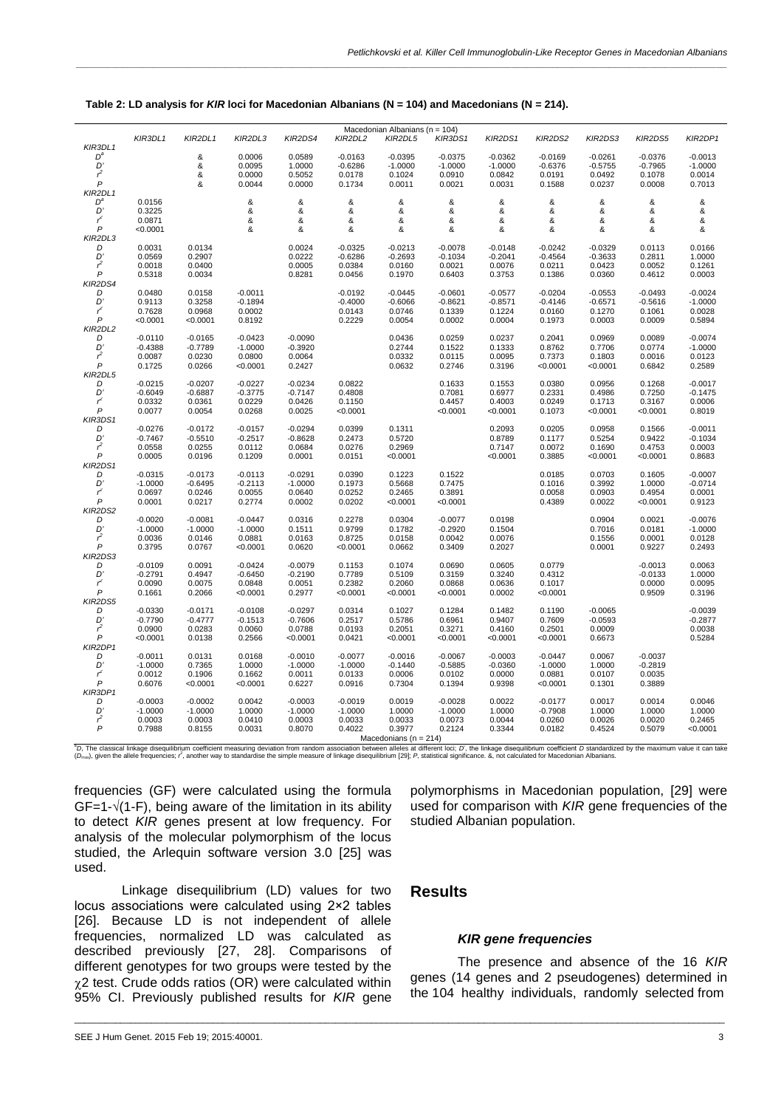|                       |                        |                        |                        |                        |                                        | Macedonian Albanians (n = 104) |                       |                       |                       |                       |                  |                        |
|-----------------------|------------------------|------------------------|------------------------|------------------------|----------------------------------------|--------------------------------|-----------------------|-----------------------|-----------------------|-----------------------|------------------|------------------------|
|                       | KIR3DL1                | KIR2DL1                | KIR2DL3                | KIR2DS4                | KIR2DL2                                | KIR2DL5                        | KIR3DS1               | KIR2DS1               | KIR2DS2               | KIR2DS3               | KIR2DS5          | KIR2DP1                |
| KIR3DL1<br>$D^a$      |                        | &                      | 0.0006                 | 0.0589                 | $-0.0163$                              | $-0.0395$                      | $-0.0375$             | $-0.0362$             | $-0.0169$             | $-0.0261$             | $-0.0376$        | $-0.0013$              |
| D'                    |                        | &                      | 0.0095                 | 1.0000                 | $-0.6286$                              | $-1.0000$                      | $-1.0000$             | $-1.0000$             | $-0.6376$             | $-0.5755$             | $-0.7965$        | $-1.0000$              |
| $r^2$                 |                        | &                      | 0.0000                 | 0.5052                 | 0.0178                                 | 0.1024                         | 0.0910                | 0.0842                | 0.0191                | 0.0492                | 0.1078           | 0.0014                 |
| $\overline{P}$        |                        | &                      | 0.0044                 | 0.0000                 | 0.1734                                 | 0.0011                         | 0.0021                | 0.0031                | 0.1588                | 0.0237                | 0.0008           | 0.7013                 |
| KIR2DL1               |                        |                        |                        |                        |                                        |                                |                       |                       |                       |                       |                  |                        |
| $D^a$                 | 0.0156                 |                        | &                      | &                      | &                                      | &                              | &                     | &                     | &                     | &                     | &                | &                      |
| $D^{\prime}$          | 0.3225                 |                        | &                      | &                      | &                                      | &                              | &                     | &                     | &                     | &                     | &                | &                      |
| تتم                   | 0.0871                 |                        | &                      | &                      | &                                      | &                              | &                     | &                     | &                     | &                     | &                | &                      |
| $\overline{P}$        | < 0.0001               |                        | &                      | &                      | &                                      | &                              | &                     | &                     | &                     | &                     | &                | &                      |
| KIR2DL3               |                        |                        |                        |                        |                                        |                                |                       |                       |                       |                       |                  |                        |
| D<br>D'               | 0.0031                 | 0.0134<br>0.2907       |                        | 0.0024                 | $-0.0325$                              | $-0.0213$                      | $-0.0078$             | $-0.0148$             | $-0.0242$             | $-0.0329$             | 0.0113           | 0.0166                 |
| $r^2$                 | 0.0569<br>0.0018       | 0.0400                 |                        | $0.0222$<br>$0.0005$   | $-0.6286$<br>$0.0384$                  | $-0.2693$<br>0.0160            | $-0.1034$<br>0.0021   | $-0.2041$<br>0.0076   | $-0.4564$<br>0.0211   | $-0.3633$<br>0.0423   | 0.2811<br>0.0052 | 1.0000<br>0.1261       |
| P                     | 0.5318                 | 0.0034                 |                        | 0.8281                 | 0.0456                                 | 0.1970                         | 0.6403                | 0.3753                | 0.1386                | 0.0360                | 0.4612           | 0.0003                 |
| KIR2DS4               |                        |                        |                        |                        |                                        |                                |                       |                       |                       |                       |                  |                        |
| D                     | 0.0480                 | 0.0158                 | $-0.0011$              |                        | -0.0192<br>-0.4000<br>0.0143<br>0.2229 | $-0.0445$                      | $-0.0601$             | $-0.0577$             | $-0.0204$             | $-0.0553$             | $-0.0493$        | $-0.0024$              |
| D'                    | 0.9113<br>0.7628       | 0.3258                 | $-0.1894$<br>$0.0002$  |                        |                                        | $-0.6066$<br>$0.0746$          | $-0.8621$<br>$0.1339$ | $-0.8571$<br>$0.1224$ | $-0.4146$<br>$0.0160$ | $-0.6571$<br>$0.1270$ | $-0.5616$        | $-1.0000$              |
| $r^2$                 |                        | 0.0968                 |                        |                        |                                        |                                |                       |                       |                       |                       | 0.1061           | 0.0028                 |
| $\boldsymbol{P}$      | < 0.0001               | < 0.0001               | 0.8192                 |                        |                                        | 0.0054                         | 0.0002                | 0.0004                | 0.1973                | 0.0003                | 0.0009           | 0.5894                 |
| KIR2DL2               |                        |                        |                        |                        |                                        |                                |                       |                       |                       |                       |                  |                        |
| D                     | $-0.0110$              | $-0.0165$              | $-0.0423$              | $-0.0090$              |                                        | 0.0436                         | 0.0259                | 0.0237                | 0.2041                | 0.0969                | 0.0089           | $-0.0074$              |
| D'<br>$\mathcal{r}^2$ | $-0.4388$              | $-0.7789$              | $-1.0000$              | $-0.3920$              |                                        | 0.2744<br>0.0332               | 0.1522                | 0.1333                | 0.8762                | 0.7706                | 0.0774           | $-1.0000$              |
| $\mathsf{P}$          | 0.0087                 | 0.0230                 | 0.0800                 | 0.0064                 |                                        | 0.0632                         | 0.0115                | 0.0095                | 0.7373                | 0.1803                | 0.0016           | 0.0123                 |
| KIR2DL5               | 0.1725                 | 0.0266                 | < 0.0001               | 0.2427                 |                                        |                                | 0.2746                | 0.3196                | < 0.0001              | < 0.0001              | 0.6842           | 0.2589                 |
| D                     | $-0.0215$              | $-0.0207$              | $-0.0227$              | $-0.0234$              | 0.0822                                 |                                | 0.1633                | 0.1553                | 0.0380                | 0.0956                | 0.1268           | $-0.0017$              |
| D'                    | $-0.6049$              | $-0.6887$              |                        | $-0.7147$              | 0.4808                                 |                                | 0.7081                | 0.6977                | 0.2331                | 0.4986                | 0.7250           | $-0.1475$              |
| $r^2$                 | 0.0332                 | 0.0361                 | -0.3775<br>0.0229      |                        | 0.1150                                 |                                | 0.4457                | 0.4003                | 0.0249                | 0.1713                | 0.3167           | 0.0006                 |
| $\mathsf{P}$          | 0.0077                 | 0.0054                 | 0.0268                 | $0.0426$<br>$0.0025$   | < 0.0001                               |                                | < 0.0001              | < 0.0001              | 0.1073                | < 0.0001              | < 0.0001         | 0.8019                 |
| KIR3DS1               |                        |                        |                        |                        |                                        |                                |                       |                       |                       |                       |                  |                        |
| D                     | $-0.0276$              | $-0.0172$              | $-0.0157$              | $-0.0294$              | 0.0399                                 | 0.1311                         |                       | 0.2093                | 0.0205                | 0.0958                | 0.1566           | $-0.0011$              |
| D'                    | $-0.7467$              | $-0.5510$              | $-0.2517$              | $-0.8628$              | 0.2473                                 | 0.5720                         |                       | 0.8789                | 0.1177                | 0.5254                | 0.9422           | $-0.1034$              |
| $r^2$                 | 0.0558                 | 0.0255                 | 0.0112                 | 0.0684                 | 0.0276                                 | 0.2969                         |                       | 0.7147                | 0.0072                | 0.1690                | 0.4753           | 0.0003                 |
| P                     | 0.0005                 | 0.0196                 | 0.1209                 | 0.0001                 | 0.0151                                 | < 0.0001                       |                       | < 0.0001              | 0.3885                | < 0.0001              | < 0.0001         | 0.8683                 |
| KIR2DS1               |                        |                        |                        |                        |                                        |                                |                       |                       |                       |                       |                  |                        |
| D<br>D'               | $-0.0315$<br>$-1.0000$ | $-0.0173$<br>$-0.6495$ | $-0.0113$<br>$-0.2113$ | $-0.0291$<br>$-1.0000$ | 0.0390<br>0.1973                       | 0.1223<br>0.5668               | 0.1522<br>0.7475      |                       | 0.0185<br>0.1016      | 0.0703<br>0.3992      | 0.1605<br>1.0000 | $-0.0007$<br>$-0.0714$ |
| $r^2$                 | 0.0697                 | 0.0246                 | 0.0055                 | 0.0640                 | 0.0252                                 | 0.2465                         | 0.3891                |                       |                       | 0.0903                | 0.4954           | 0.0001                 |
| $\overline{P}$        | 0.0001                 | 0.0217                 | 0.2774                 | 0.0002                 | 0.0202                                 | < 0.0001                       | < 0.0001              |                       | 0.0058<br>0.4389      | 0.0022                | <0.0001          | 0.9123                 |
| KIR2DS2               |                        |                        |                        |                        |                                        |                                |                       |                       |                       |                       |                  |                        |
| D                     | $-0.0020$              |                        |                        | 0.0316                 | 0.2278                                 | 0.0304                         | $-0.0077$             | 0.0198                |                       | 0.0904                | 0.0021           | $-0.0076$              |
| D'                    | $-1.0000$              | $-0.0081$<br>$-1.0000$ | $-0.0447$<br>$-1.0000$ | $0.1511$<br>$0.0163$   | $0.9799$<br>$0.8725$                   | 0.1782                         | $-0.2920$             | 0.1504                |                       | 0.7016                | 0.0181           | $-1.0000$              |
| $\mathcal{r}^2$       | 0.0036                 | 0.0146                 | 0.0881                 |                        |                                        | 0.0158                         | 0.0042                | 0.0076                |                       | 0.1556                | 0.0001           | 0.0128                 |
| P                     | 0.3795                 | 0.0767                 | < 0.0001               | 0.0620                 | <0.0001                                | 0.0662                         | 0.3409                | 0.2027                |                       | 0.0001                | 0.9227           | 0.2493                 |
| KIR2DS3               |                        |                        |                        |                        |                                        |                                |                       |                       |                       |                       |                  |                        |
| D                     | $-0.0109$              | 0.0091                 | $-0.0424$              | -0.0079<br>-0.2190     | 0.1153                                 | 0.1074                         | 0.0690                | 0.0605                | 0.0779                |                       | $-0.0013$        | 0.0063                 |
| D'<br>$r^2$           | $-0.2791$<br>$0.0090$  | 0.4947<br>0.0075       | $-0.6450$<br>$0.0848$  | 0.0051                 | 0.7789<br>0.2382                       | 0.5109<br>0.2060               | 0.3159                | 0.3240                | 0.4312                |                       | $-0.0133$        | 1.0000<br>0.0095       |
| $\overline{P}$        | 0.1661                 |                        | < 0.0001               | 0.2977                 | <0.0001                                | < 0.0001                       | 0.0868<br>< 0.0001    | 0.0636<br>0.0002      | 0.1017                |                       | 0.0000           |                        |
| KIR2DS5               |                        | 0.2066                 |                        |                        |                                        |                                |                       |                       | < 0.0001              |                       | 0.9509           | 0.3196                 |
| D                     | $-0.0330$              | $-0.0171$              | $-0.0108$              | $-0.0297$              | 0.0314                                 | 0.1027                         | 0.1284                | 0.1482                | 0.1190                | $-0.0065$             |                  | $-0.0039$              |
| D'                    | $-0.7790$              | $-0.4777$              | $-0.1513$              | $-0.7606$              | 0.2517                                 | 0.5786                         | 0.6961                | 0.9407                | 0.7609                | $-0.0593$             |                  | $-0.2877$              |
| $r^2$                 | 0.0900                 | 0.0283                 | 0.0060                 | 0.0788                 | 0.0193                                 | 0.2051                         | 0.3271                | 0.4160                | 0.2501                | 0.0009                |                  | 0.0038                 |
| P                     | < 0.0001               | 0.0138                 | 0.2566                 | < 0.0001               | 0.0421                                 | < 0.0001                       | < 0.0001              | < 0.0001              | < 0.0001              | 0.6673                |                  | 0.5284                 |
| KIR2DP1               |                        |                        |                        |                        |                                        |                                |                       |                       |                       |                       |                  |                        |
| D                     | $-0.0011$              | 0.0131                 | 0.0168                 | $-0.0010$<br>$-1.0000$ | $-0.0077$                              | $-0.0016$                      | $-0.0067$             | $-0.0003$             | $-0.0447$             | 0.0067                | $-0.0037$        |                        |
| D'                    | $-1.0000$              | 0.7365                 | 1.0000                 |                        | $-1.0000$                              | $-0.1440$                      | $-0.5885$             | $-0.0360$             | $-1.0000$             | 1.0000                | $-0.2819$        |                        |
| $r^2$                 | 0.0012                 | 0.1906                 | 0.1662                 | 0.0011                 | 0.0133                                 | 0.0006                         | 0.0102                | 0.0000                | 0.0881                | 0.0107                | 0.0035           |                        |
| $\overline{P}$        | 0.6076                 | < 0.0001               | < 0.0001               | 0.6227                 | 0.0916                                 | 0.7304                         | 0.1394                | 0.9398                | < 0.0001              | 0.1301                | 0.3889           |                        |
| KIR3DP1               |                        |                        |                        |                        |                                        |                                |                       |                       |                       |                       |                  |                        |
| D                     | $-0.0003$              | $-0.0002$              | 0.0042                 | $-0.0003$<br>$-1.0000$ | $-0.0019$<br>$-1.0000$                 | 0.0019                         | $-0.0028$             | 0.0022                | $-0.0177$             | 0.0017                | 0.0014           | 0.0046                 |
| D'<br>$\mathcal{r}^2$ | $-1.0000$<br>0.0003    | $-1.0000$<br>0.0003    | 1.0000                 |                        | 0.0033                                 | 1.0000<br>0.0033               | $-1.0000$<br>0.0073   | 1.0000<br>0.0044      | $-0.7908$<br>0.0260   | 1.0000<br>0.0026      | 1.0000<br>0.0020 | 1.0000<br>0.2465       |
| $\overline{P}$        | 0.7988                 | 0.8155                 | $0.0410$<br>$0.0031$   | 0.0003<br>0.8070       | 0.4022                                 | 0.3977                         | 0.2124                | 0.3344                | 0.0182                | 0.4524                | 0.5079           | < 0.0001               |
|                       |                        |                        |                        |                        |                                        | Macedonians ( $n = 214$ )      |                       |                       |                       |                       |                  |                        |
|                       |                        |                        |                        |                        |                                        |                                |                       |                       |                       |                       |                  |                        |

| Table 2: LD analysis for KIR loci for Macedonian Albanians ( $N = 104$ ) and Macedonians ( $N = 214$ ). |  |
|---------------------------------------------------------------------------------------------------------|--|
|---------------------------------------------------------------------------------------------------------|--|

"D, The classical linkage disequilibrium coefficient measuring deviation from random association Macedonians (n = 214)<br>(D<sub>max</sub>), given the allele frequencies; r<sup>2</sup>, another way to standardise the simple measure of linkage

\_\_\_\_\_\_\_\_\_\_\_\_\_\_\_\_\_\_\_\_\_\_\_\_\_\_\_\_\_\_\_\_\_\_\_\_\_\_\_\_\_\_\_\_\_\_\_\_\_\_\_\_\_\_\_\_\_\_\_\_\_\_\_\_\_\_\_\_\_\_\_\_\_\_\_\_\_\_\_\_\_\_\_\_\_\_\_\_\_\_\_\_\_\_\_\_\_\_\_\_\_\_\_\_\_\_\_\_\_\_\_\_\_\_\_\_\_\_\_\_\_\_\_\_\_\_\_

frequencies (GF) were calculated using the formula  $GF=1-\sqrt{(1-F)}$ , being aware of the limitation in its ability to detect *KIR* genes present at low frequency. For analysis of the molecular polymorphism of the locus studied, the Arlequin software version 3.0 [25] was used.

Linkage disequilibrium (LD) values for two locus associations were calculated using 2×2 tables [26]. Because LD is not independent of allele frequencies, normalized LD was calculated as described previously [27, 28]. Comparisons of different genotypes for two groups were tested by the  $\chi$ 2 test. Crude odds ratios (OR) were calculated within 95% CI. Previously published results for *KIR* gene

SEE J Hum Genet. 2015 Feb 19; 2015:40001. 3

polymorphisms in Macedonian population, [29] were used for comparison with *KIR* gene frequencies of the studied Albanian population.

## **Results**

#### *KIR gene frequencies*

The presence and absence of the 16 *KIR* genes (14 genes and 2 pseudogenes) determined in the 104 healthy individuals, randomly selected from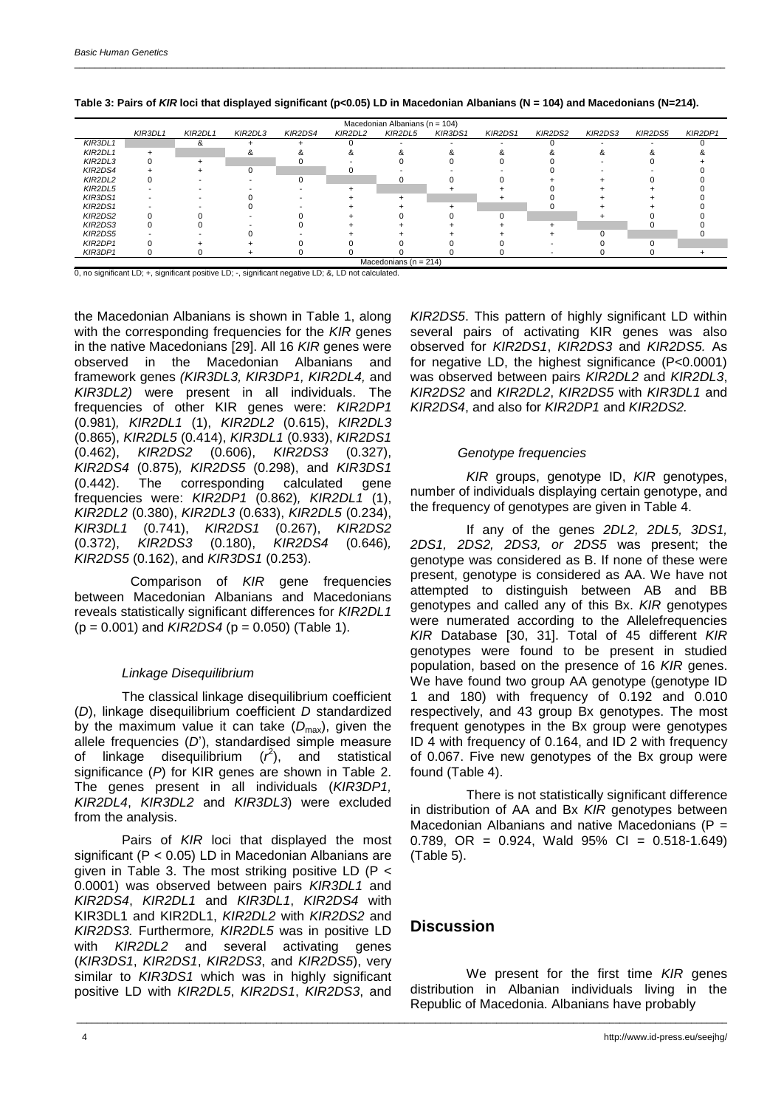|         | KIR3DL1 | KIR2DL1 | KIR2DL3 | KIR2DS4 | KIR2DL2 | $macc$ and $muc$ and $muc$ and $muc$<br>KIR2DL5 | KIR3DS1 | KIR2DS1 | KIR2DS2 | KIR2DS3 | KIR2DS5 | KIR2DP1 |
|---------|---------|---------|---------|---------|---------|-------------------------------------------------|---------|---------|---------|---------|---------|---------|
| KIR3DL1 |         | &       |         |         |         |                                                 |         |         |         |         |         |         |
| KIR2DL1 |         |         |         |         |         |                                                 |         |         |         |         |         |         |
| KIR2DL3 |         |         |         |         |         |                                                 |         |         |         |         |         |         |
| KIR2DS4 |         |         |         |         |         |                                                 |         |         |         |         |         |         |
| KIR2DL2 |         |         |         |         |         |                                                 |         |         |         |         |         |         |
| KIR2DL5 |         |         |         |         |         |                                                 |         |         |         |         |         |         |
| KIR3DS1 |         |         |         |         |         |                                                 |         |         |         |         |         |         |
| KIR2DS1 |         |         |         |         |         |                                                 |         |         |         |         |         |         |
| KIR2DS2 |         |         |         |         |         |                                                 |         |         |         |         |         |         |
| KIR2DS3 |         |         |         |         |         |                                                 |         |         |         |         |         |         |
| KIR2DS5 |         |         |         |         |         |                                                 |         |         |         |         |         |         |
| KIR2DP1 |         |         |         |         |         |                                                 |         |         |         |         |         |         |
| KIR3DP1 |         |         |         |         |         |                                                 |         |         |         |         |         |         |
|         |         |         |         |         |         | Macedonians ( $n = 214$ )                       |         |         |         |         |         |         |

**Table 3: Pairs of** *KIR* **loci that displayed significant (p<0.05) LD in Macedonian Albanians (N = 104) and Macedonians (N=214).**

 $n$ ian Albanians (n  $-$  104)

0, no significant LD; +, significant positive LD; -, significant negative LD; &, LD not calculated.

the Macedonian Albanians is shown in Table 1, along with the corresponding frequencies for the *KIR* genes in the native Macedonians [29]. All 16 *KIR* genes were observed in the Macedonian Albanians and framework genes *(KIR3DL3, KIR3DP1, KIR2DL4,* and *KIR3DL2)* were present in all individuals. The frequencies of other KIR genes were: *KIR2DP1* (0.981)*, KIR2DL1* (1), *KIR2DL2* (0.615), *KIR2DL3* (0.865), *KIR2DL5* (0.414), *KIR3DL1* (0.933), *KIR2DS1* (0.462), *KIR2DS2* (0.606), *KIR2DS3* (0.327), *KIR2DS4* (0.875)*, KIR2DS5* (0.298), and *KIR3DS1* (0.442). The corresponding calculated gene frequencies were: *KIR2DP1* (0.862)*, KIR2DL1* (1), *KIR2DL2* (0.380), *KIR2DL3* (0.633), *KIR2DL5* (0.234), *KIR3DL1* (0.741), *KIR2DS1* (0.267), *KIR2DS2* (0.372), *KIR2DS3* (0.180), *KIR2DS4* (0.646)*, KIR2DS5* (0.162), and *KIR3DS1* (0.253).

Comparison of *KIR* gene frequencies between Macedonian Albanians and Macedonians reveals statistically significant differences for *KIR2DL1* (p = 0.001) and *KIR2DS4* (p = 0.050) (Table 1).

### *Linkage Disequilibrium*

The classical linkage disequilibrium coefficient (*D*), linkage disequilibrium coefficient *D* standardized by the maximum value it can take  $(D_{\text{max}})$ , given the allele frequencies (*D*'), standardised simple measure of linkage disequilibrium  $(r^2)$ , and statistical significance (*P*) for KIR genes are shown in Table 2. The genes present in all individuals (*KIR3DP1, KIR2DL4*, *KIR3DL2* and *KIR3DL3*) were excluded from the analysis.

Pairs of *KIR* loci that displayed the most significant (P < 0.05) LD in Macedonian Albanians are given in Table 3. The most striking positive LD (P < 0.0001) was observed between pairs *KIR3DL1* and *KIR2DS4*, *KIR2DL1* and *KIR3DL1*, *KIR2DS4* with KIR3DL1 and KIR2DL1, *KIR2DL2* with *KIR2DS2* and *KIR2DS3.* Furthermore*, KIR2DL5* was in positive LD with *KIR2DL2* and several activating genes (*KIR3DS1*, *KIR2DS1*, *KIR2DS3*, and *KIR2DS5*), very similar to *KIR3DS1* which was in highly significant positive LD with *KIR2DL5*, *KIR2DS1*, *KIR2DS3*, and

*KIR2DS5*. This pattern of highly significant LD within several pairs of activating KIR genes was also observed for *KIR2DS1*, *KIR2DS3* and *KIR2DS5.* As for negative LD, the highest significance (P<0.0001) was observed between pairs *KIR2DL2* and *KIR2DL3*, *KIR2DS2* and *KIR2DL2*, *KIR2DS5* with *KIR3DL1* and *KIR2DS4*, and also for *KIR2DP1* and *KIR2DS2.*

### *Genotype frequencies*

*KIR* groups, genotype ID, *KIR* genotypes, number of individuals displaying certain genotype, and the frequency of genotypes are given in Table 4.

If any of the genes *2DL2, 2DL5, 3DS1, 2DS1, 2DS2, 2DS3, or 2DS5* was present; the genotype was considered as B. If none of these were present, genotype is considered as AA. We have not attempted to distinguish between AB and BB genotypes and called any of this Bx. *KIR* genotypes were numerated according to the Allelefrequencies *KIR* Database [30, 31]. Total of 45 different *KIR* genotypes were found to be present in studied population, based on the presence of 16 *KIR* genes. We have found two group AA genotype (genotype ID 1 and 180) with frequency of 0.192 and 0.010 respectively, and 43 group Bx genotypes. The most frequent genotypes in the Bx group were genotypes ID 4 with frequency of 0.164, and ID 2 with frequency of 0.067. Five new genotypes of the Bx group were found (Table 4).

There is not statistically significant difference in distribution of AA and Bx *KIR* genotypes between Macedonian Albanians and native Macedonians ( $P =$ 0.789, OR =  $0.924$ , Wald  $95\%$  CI =  $0.518-1.649$ ) (Table 5).

## **Discussion**

\_\_\_\_\_\_\_\_\_\_\_\_\_\_\_\_\_\_\_\_\_\_\_\_\_\_\_\_\_\_\_\_\_\_\_\_\_\_\_\_\_\_\_\_\_\_\_\_\_\_\_\_\_\_\_\_\_\_\_\_\_\_\_\_\_\_\_\_\_\_\_\_\_\_\_\_\_\_\_\_\_\_\_\_\_\_\_\_\_\_\_\_\_\_\_\_\_\_\_\_\_\_\_\_\_\_\_\_\_\_\_\_\_\_\_\_\_\_\_\_\_\_\_\_\_\_\_

We present for the first time *KIR* genes distribution in Albanian individuals living in the Republic of Macedonia. Albanians have probably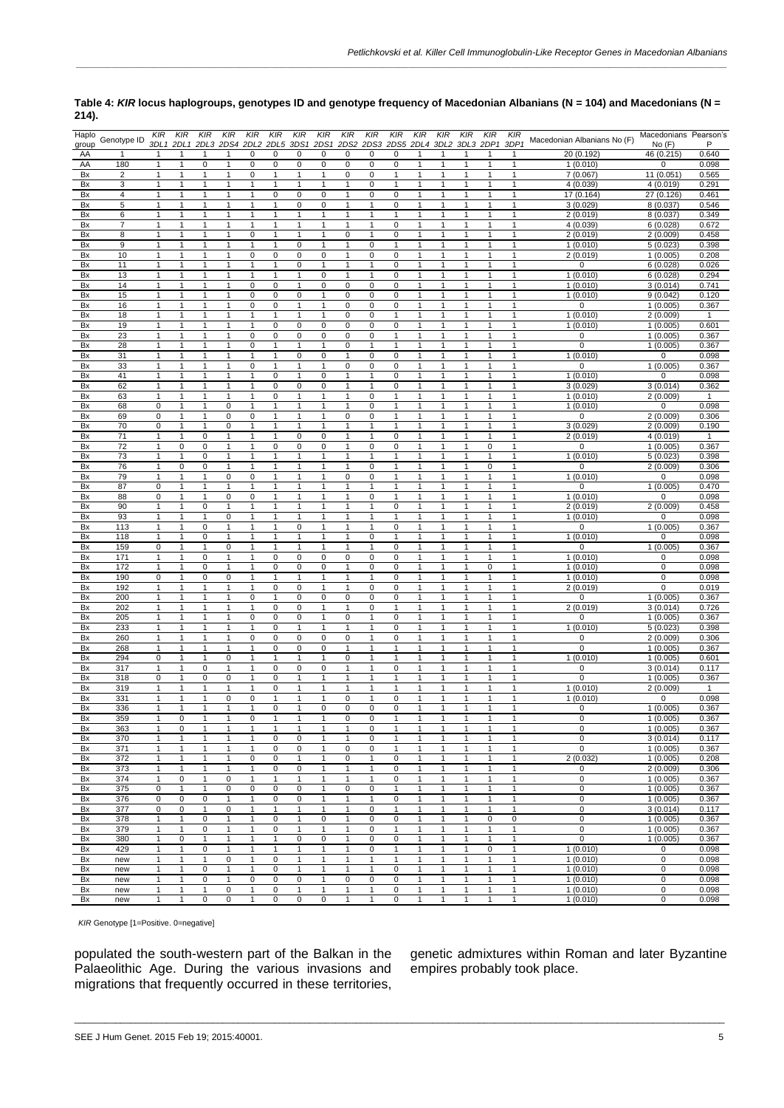| Haplo<br>group | Genotype ID             | KIR                          | KIR                          | KIR                          | KIR<br>3DL1 2DL1 2DL3 2DS4 2DL2 2DL5 3DS1 | KIR                         | KIR                          | KIR                            | KIR<br>2DS1 2DS2             | KIR<br>KIR                                                    | KIR                       | KIR                          | KIR                          | KIR<br>2DS3 2DS5 2DL4 3DL2 3DL3 2DP1 | KIR                          | KIR<br>3DP1                  | Macedonian Albanians No (F) | Macedonians Pearson's<br>No(F) | P              |
|----------------|-------------------------|------------------------------|------------------------------|------------------------------|-------------------------------------------|-----------------------------|------------------------------|--------------------------------|------------------------------|---------------------------------------------------------------|---------------------------|------------------------------|------------------------------|--------------------------------------|------------------------------|------------------------------|-----------------------------|--------------------------------|----------------|
| AA             | $\mathbf{1}$            | $\overline{1}$               | $\mathbf{1}$                 | $\mathbf{1}$                 | $\mathbf{1}$                              | 0                           | $\pmb{0}$                    | 0                              | $\mathbf 0$                  | 0<br>0                                                        | 0                         | $\mathbf{1}$                 | $\mathbf{1}$                 | $\mathbf{1}$                         | $\overline{1}$               | $\mathbf{1}$                 | 20 (0.192)                  | 46 (0.215)                     | 0.640          |
| AA             | 180                     | 1                            | $\mathbf{1}$                 | $\mathbf 0$                  | $\mathbf{1}$                              | 0                           | $\pmb{0}$                    | 0                              | $\mathbf 0$                  | $\mathbf 0$<br>0                                              | 0                         | $\mathbf{1}$                 | 1                            | 1                                    | 1                            | $\mathbf{1}$                 | 1(0.010)                    | 0                              | 0.098          |
| Bx             | $\overline{\mathbf{c}}$ | $\mathbf{1}$                 | 1                            | $\mathbf{1}$                 | 1                                         | 0                           | $\mathbf{1}$                 | 1                              | $\mathbf{1}$                 | 0<br>0                                                        | $\mathbf{1}$              | 1                            | $\mathbf{1}$                 | 1                                    | 1                            | 1                            | 7(0.067)                    | 11(0.051)                      | 0.565          |
| Bx             | 3                       | $\mathbf{1}$                 | 1                            | 1                            | 1                                         | 1                           | 1                            | 1                              | $\mathbf{1}$                 | 0<br>1                                                        | 1                         | 1                            | $\mathbf{1}$                 | 1                                    | $\mathbf{1}$                 | $\mathbf{1}$                 | 4(0.039)                    | 4(0.019)                       | 0.291          |
| Bx             | 4                       | $\mathbf{1}$                 | 1                            | 1                            | 1                                         | 1                           | $\mathsf 0$                  | 0                              | 0                            | $\mathbf{1}$<br>0                                             | 0                         | 1                            | $\mathbf{1}$                 | 1                                    | $\mathbf{1}$                 | $\mathbf{1}$                 | 17 (0.164)                  | 27 (0.126)                     | 0.461          |
| Bx             | 5                       | $\mathbf{1}$                 | 1                            | $\mathbf{1}$                 | $\mathbf{1}$                              | 1                           | $\mathbf{1}$                 | 0                              | $\mathbf 0$                  | $\mathbf{1}$<br>1                                             | $\mathbf 0$               | 1                            | $\mathbf{1}$                 | 1                                    | $\mathbf{1}$                 | $\mathbf{1}$                 | 3(0.029)                    | 8 (0.037)                      | 0.546          |
| Bx             | 6                       | $\mathbf{1}$                 | 1                            | $\mathbf{1}$                 | $\mathbf{1}$                              | 1                           | 1                            | $\mathbf{1}$                   | $\overline{1}$               | $\mathbf{1}$<br>$\mathbf{1}$                                  | $\mathbf{1}$              | 1                            | $\mathbf{1}$                 | $\overline{1}$                       | $\mathbf{1}$                 | $\mathbf{1}$                 | 2(0.019)                    | 8(0.037)                       | 0.349          |
| Bx             | 7                       | 1                            | 1                            | $\mathbf{1}$                 | 1                                         | 1                           | $\mathbf{1}$                 | 1                              | 1                            | 1<br>1                                                        | 0                         | 1                            | $\mathbf{1}$                 | $\mathbf{1}$                         | $\mathbf{1}$                 | $\mathbf{1}$                 | 4(0.039)                    | 6(0.028)                       | 0.672          |
| Bx<br>Bx       | 8<br>9                  | $\mathbf{1}$<br>$\mathbf{1}$ | $\mathbf{1}$<br>$\mathbf{1}$ | $\mathbf{1}$<br>$\mathbf{1}$ | $\mathbf{1}$<br>$\mathbf{1}$              | 0<br>$\mathbf{1}$           | $\mathbf{1}$<br>$\mathbf{1}$ | $\mathbf{1}$<br>$\overline{0}$ | $\mathbf{1}$<br>$\mathbf{1}$ | $\mathbf 0$<br>$\mathbf{1}$<br>$\overline{0}$<br>$\mathbf{1}$ | 0<br>$\mathbf{1}$         | $\mathbf{1}$<br>$\mathbf{1}$ | $\mathbf{1}$<br>$\mathbf{1}$ | $\mathbf{1}$<br>$\mathbf{1}$         | $\mathbf{1}$<br>$\mathbf{1}$ | $\mathbf{1}$<br>1            | 2(0.019)                    | 2(0.009)<br>5(0.023)           | 0.458<br>0.398 |
| Bx             | 10                      | $\mathbf{1}$                 | $\mathbf{1}$                 | $\mathbf{1}$                 | $\mathbf{1}$                              | 0                           | $\pmb{0}$                    | 0                              | $\pmb{0}$                    | $\mathbf{1}$<br>0                                             | $\pmb{0}$                 | $\mathbf{1}$                 | $\mathbf{1}$                 | $\mathbf{1}$                         | $\mathbf{1}$                 | $\mathbf{1}$                 | 1(0.010)<br>2(0.019)        | 1(0.005)                       | 0.208          |
| Bx             | 11                      | $\mathbf{1}$                 | 1                            | $\mathbf{1}$                 | $\mathbf{1}$                              | $\mathbf{1}$                | $\mathbf{1}$                 | 0                              | $\mathbf{1}$                 | $\mathbf{1}$<br>$\mathbf{1}$                                  | $\mathbf 0$               | $\mathbf{1}$                 | $\mathbf{1}$                 | $\mathbf{1}$                         | $\mathbf{1}$                 | $\mathbf{1}$                 | 0                           | 6(0.028)                       | 0.026          |
| Bx             | 13                      | 1                            | 1                            | 1                            | 1                                         | 1                           | 1                            | 1                              | 0                            | 1<br>1                                                        | 0                         | 1                            | 1                            | $\mathbf{1}$                         | 1                            | 1                            | 1(0.010)                    | 6(0.028)                       | 0.294          |
| Bx             | 14                      | 1                            |                              | 1                            | $\mathbf{1}$                              | 0                           | 0                            | $\mathbf{1}$                   | $\mathbf 0$                  | $\mathbf 0$<br>0                                              | 0                         | 1                            | $\mathbf{1}$                 | 1                                    | $\overline{1}$               | 1                            | 1(0.010)                    | 3(0.014)                       | 0.741          |
| Bx             | 15                      | 1                            | 1                            | 1                            | 1                                         | 0                           | 0                            | 0                              | $\mathbf{1}$                 | 0<br>0                                                        | 0                         | 1                            | $\mathbf{1}$                 | 1                                    | $\mathbf{1}$                 | $\mathbf{1}$                 | 1(0.010)                    | 9(0.042)                       | 0.120          |
| Bx             | 16                      | $\mathbf{1}$                 | 1                            | $\mathbf{1}$                 | $\mathbf{1}$                              | 0                           | $\pmb{0}$                    | $\mathbf{1}$                   | $\mathbf{1}$                 | $\pmb{0}$<br>0                                                | $\pmb{0}$                 | $\mathbf{1}$                 | $\mathbf{1}$                 | 1                                    | $\mathbf{1}$                 | $\mathbf{1}$                 |                             | 1(0.005)                       | 0.367          |
| Bx             | 18                      | $\mathbf{1}$                 | $\mathbf{1}$                 | $\mathbf{1}$                 | $\mathbf{1}$                              | $\mathbf{1}$                | $\mathbf{1}$                 | $\mathbf{1}$                   | $\mathbf{1}$                 | $\pmb{0}$<br>$\mathbf 0$                                      | $\mathbf{1}$              | $\mathbf{1}$                 | $\mathbf{1}$                 | $\mathbf{1}$                         | $\mathbf{1}$                 | $\mathbf{1}$                 | 1(0.010)                    | 2(0.009)                       | 1              |
| Bx             | 19                      | $\mathbf{1}$                 | 1                            | $\mathbf{1}$                 | $\mathbf{1}$                              | $\mathbf{1}$                | $\mathsf 0$                  | 0                              | $\overline{0}$               | 0<br>0                                                        | 0                         | 1                            | $\mathbf{1}$                 | 1                                    | $\mathbf{1}$                 | $\mathbf{1}$                 | 1(0.010)                    | 1(0.005)                       | 0.601          |
| Bx             | 23                      | $\mathbf{1}$                 | 1                            | $\mathbf{1}$                 | $\mathbf{1}$                              | 0                           | $\mathsf 0$                  | 0                              | $\mathbf 0$                  | 0<br>0                                                        | $\mathbf{1}$              | 1                            | $\mathbf{1}$                 | $\mathbf{1}$                         | $\mathbf{1}$                 | $\mathbf{1}$                 | 0                           | 1(0.005)                       | 0.367          |
| Bx             | 28                      | $\mathbf{1}$                 | $\mathbf{1}$                 | $\mathbf{1}$                 | $\mathbf{1}$                              | 0                           | $\mathbf{1}$                 | 1                              | $\mathbf{1}$                 | 0<br>$\mathbf{1}$                                             | $\mathbf{1}$              | $\mathbf{1}$                 | $\mathbf{1}$                 | $\mathbf{1}$                         | $\mathbf{1}$                 | $\mathbf{1}$                 | 0                           | 1(0.005)                       | 0.367          |
| Bx             | 31                      | $\mathbf{1}$                 | $\mathbf{1}$                 | $\mathbf{1}$                 | $\mathbf{1}$                              | $\mathbf{1}$                | $\mathbf{1}$                 | 0                              | $\pmb{0}$                    | $\mathbf 0$<br>$\mathbf{1}$                                   | $\pmb{0}$                 | $\mathbf{1}$                 | $\mathbf{1}$                 | $\mathbf{1}$                         | $\mathbf{1}$                 | $\mathbf{1}$                 | 1(0.010)<br>$\Omega$        | 0                              | 0.098          |
| Bx<br>Bx       | 33<br>41                | $\mathbf{1}$                 | $\mathbf{1}$<br>1            | $\mathbf{1}$<br>$\mathbf{1}$ | $\mathbf{1}$                              | 0<br>1                      | $\mathbf{1}$<br>$\pmb{0}$    | $\mathbf{1}$                   | $\mathbf{1}$                 | 0<br>0<br>$\mathbf{1}$<br>1                                   | 0<br>0                    | 1<br>1                       | $\mathbf{1}$<br>$\mathbf{1}$ | $\mathbf{1}$<br>1                    | 1<br>$\mathbf{1}$            | 1<br>$\mathbf{1}$            |                             | 1(0.005)<br>0                  | 0.367          |
| Bx             | 62                      | 1<br>1                       | 1                            | 1                            | 1                                         | 1                           | $\pmb{0}$                    | 0                              | 0<br>$\mathbf 0$             | 1<br>1                                                        | 0                         | 1                            | 1                            | 1                                    | 1                            | $\mathbf{1}$                 | 1(0.010)<br>3(0.029)        | 3(0.014)                       | 0.098<br>0.362 |
| Bx             | 63                      | 1                            | 1                            | $\mathbf{1}$                 | $\mathbf{1}$                              | 1                           | $\overline{0}$               | $\mathbf{1}$                   | $\overline{1}$               | $\mathbf{1}$<br>0                                             |                           | 1                            | $\mathbf{1}$                 | 1                                    | $\mathbf{1}$                 | 1                            | 1(0.010)                    | 2(0.009)                       | 1              |
| Bx             | 68                      | 0                            | 1                            | $\mathbf{1}$                 | 0                                         | 1                           | $\mathbf{1}$                 | 1                              | $\mathbf{1}$                 | 0<br>$\mathbf{1}$                                             | 1                         | 1                            | $\mathbf{1}$                 | 1                                    | $\mathbf{1}$                 | $\mathbf{1}$                 | 1(0.010)                    | 0                              | 0.098          |
| Bx             | 69                      | 0                            | 1                            | $\mathbf{1}$                 | 0                                         | 0                           | $\mathbf{1}$                 | 1                              | $\mathbf{1}$                 | 0<br>0                                                        | 1                         | 1                            | $\mathbf{1}$                 | 1                                    | $\mathbf{1}$                 | $\mathbf{1}$                 | O                           | 2(0.009)                       | 0.306          |
| Bx             | 70                      | 0                            | 1                            | $\mathbf{1}$                 | 0                                         | $\mathbf{1}$                | 1                            | 1                              | 1                            | 1<br>1                                                        | 1                         | 1                            | $\mathbf{1}$                 | 1                                    | 1                            | 1                            | 3 (0.029)                   | 2(0.009)                       | 0.190          |
| Bx             | 71                      | $\mathbf{1}$                 | $\mathbf{1}$                 | $\mathbf 0$                  | $\mathbf{1}$                              | $\mathbf{1}$                | $\mathbf{1}$                 | 0                              | $\pmb{0}$                    | $\mathbf{1}$<br>$\mathbf{1}$                                  | 0                         | 1                            | $\mathbf{1}$                 | $\mathbf{1}$                         | $\mathbf{1}$                 | $\mathbf{1}$                 | 2(0.019)                    | 4(0.019)                       | 1              |
| Bx             | 72                      | $\mathbf{1}$                 | $\pmb{0}$                    | $\mathbf 0$                  | $\mathbf{1}$                              | 1                           | $\pmb{0}$                    | 0                              | 0                            | $\mathbf 0$<br>$\mathbf{1}$                                   | 0                         | $\mathbf{1}$                 | $\mathbf{1}$                 | $\mathbf{1}$                         | $\mathbf 0$                  | $\mathbf{1}$                 | 0                           | 1(0.005)                       | 0.367          |
| Bx             | 73                      | $\mathbf{1}$                 | $\mathbf{1}$                 | $\mathbf 0$                  | $\mathbf{1}$                              | $\mathbf{1}$                | $\mathbf{1}$                 | $\mathbf{1}$                   | $\mathbf{1}$                 | $\mathbf{1}$<br>1                                             | $\mathbf{1}$              | $\mathbf{1}$                 | $\mathbf{1}$                 | $\mathbf{1}$                         | $\mathbf{1}$                 | $\mathbf{1}$                 | 1(0.010)                    | 5(0.023)                       | 0.398          |
| Bx             | 76                      | $\mathbf{1}$                 | $\mathbf 0$                  | $\mathbf 0$                  | $\mathbf{1}$                              | $\mathbf{1}$                | 1                            | $\mathbf{1}$                   | $\mathbf{1}$                 | $\pmb{0}$<br>$\mathbf{1}$                                     | $\mathbf{1}$              | $\mathbf{1}$                 | $\mathbf{1}$                 | $\mathbf{1}$                         | $\pmb{0}$                    | 1                            | $\Omega$                    | 2(0.009)                       | 0.306          |
| Bx             | 79                      | $\mathbf{1}$                 | 1                            | 1                            | 0                                         | 0                           | 1                            | 1                              | 1                            | 0<br>0                                                        | 1                         | 1                            | $\mathbf{1}$                 | 1                                    | $\mathbf{1}$                 | $\mathbf{1}$                 | 1(0.010)                    | 0                              | 0.098          |
| Bx             | 87                      | 0                            | 1                            | $\mathbf{1}$                 | $\mathbf{1}$                              | $\mathbf{1}$                | $\mathbf{1}$                 | $\mathbf{1}$                   | 1                            | $\mathbf{1}$<br>1                                             | 1                         | 1                            | $\mathbf{1}$                 | 1                                    | $\mathbf{1}$                 | $\mathbf{1}$                 | $\Omega$                    | 1(0.005)                       | 0.470          |
| Bx             | 88                      | $\mathbf 0$                  | $\mathbf{1}$                 | $\mathbf{1}$                 | 0                                         | $\overline{0}$<br>1         | $\mathbf{1}$                 | 1                              | 1<br>$\overline{1}$          | $\overline{0}$<br>1                                           | 1                         | 1<br>$\overline{1}$          | $\mathbf{1}$                 | 1<br>$\mathbf{1}$                    | $\mathbf{1}$                 | 1                            | 1(0.010)                    | 0                              | 0.098          |
| Bx<br>Bx       | 90<br>93                | $\mathbf{1}$<br>$\mathbf{1}$ | 1<br>$\mathbf{1}$            | $\mathsf 0$<br>$\mathbf{1}$  | $\mathbf{1}$<br>0                         | $\mathbf{1}$                | $\mathbf{1}$<br>$\mathbf{1}$ | $\mathbf{1}$<br>$\mathbf{1}$   | $\mathbf{1}$                 | $\mathbf{1}$<br>$\mathbf{1}$<br>$\mathbf{1}$<br>1             | $\pmb{0}$<br>$\mathbf{1}$ | 1                            | $\mathbf{1}$<br>$\mathbf{1}$ | $\mathbf{1}$                         | $\mathbf{1}$<br>$\mathbf{1}$ | $\mathbf{1}$<br>$\mathbf{1}$ | 2(0.019)<br>1(0.010)        | 2(0.009)<br>0                  | 0.458<br>0.098 |
| Bx             | 113                     | $\mathbf{1}$                 | 1                            | $\mathbf 0$                  | $\mathbf{1}$                              | 1                           | 1                            | 0                              | $\mathbf{1}$                 | $\mathbf{1}$<br>1                                             | 0                         | $\mathbf{1}$                 | $\mathbf{1}$                 | 1                                    | $\mathbf{1}$                 | $\mathbf{1}$                 | $\Omega$                    | 1(0.005)                       | 0.367          |
| Bx             | 118                     | $\mathbf{1}$                 | $\mathbf{1}$                 | $\pmb{0}$                    | $\mathbf{1}$                              | 1                           | $\mathbf{1}$                 | $\mathbf{1}$                   | $\mathbf{1}$                 | 0<br>1                                                        | $\mathbf{1}$              | $\mathbf{1}$                 | $\mathbf{1}$                 | $\mathbf{1}$                         | $\mathbf{1}$                 | 1                            | 1(0.010)                    | 0                              | 0.098          |
| Bx             | 159                     | 0                            | 1                            | $\mathbf{1}$                 | 0                                         | 1                           | $\mathbf{1}$                 | $\mathbf{1}$                   | $\mathbf{1}$                 | $\mathbf{1}$<br>1                                             | 0                         | 1                            | $\overline{1}$               | $\mathbf{1}$                         | $\mathbf{1}$                 | 1                            | $\Omega$                    | 1(0.005)                       | 0.367          |
| Bx             | 171                     | $\mathbf{1}$                 | $\mathbf{1}$                 | $\mathbf 0$                  | $\mathbf{1}$                              | $\mathbf{1}$                | $\mathsf 0$                  | 0                              | $\pmb{0}$                    | $\pmb{0}$<br>$\mathbf 0$                                      | 0                         | $\mathbf{1}$                 | $\mathbf{1}$                 | $\mathbf{1}$                         | $\mathbf{1}$                 | $\mathbf{1}$                 | 1(0.010)                    | 0                              | 0.098          |
| Bx             | 172                     | 1                            | $\mathbf{1}$                 | $\mathbf 0$                  | $\mathbf{1}$                              | $\mathbf{1}$                | $\mathsf 0$                  | 0                              | 0                            | 0<br>1                                                        | 0                         | 1                            | $\mathbf{1}$                 | $\mathbf{1}$                         | $\pmb{0}$                    | 1                            | 1(0.010)                    | 0                              | 0.098          |
| Bx             | 190                     | 0                            |                              | $\mathbf 0$                  | $\pmb{0}$                                 | 1                           | 1                            | 1                              | 1                            | 1<br>$\mathbf{1}$                                             | 0                         | 1                            | 1                            | $\mathbf{1}$                         | 1                            | 1                            | 1(0.010)                    | 0                              | 0.098          |
| Bx             | 192                     | 1                            | 1                            | 1                            | $\mathbf{1}$                              | 1                           | 0                            | 0                              | $\mathbf{1}$                 | 0<br>1                                                        | 0                         | $\mathbf{1}$                 | $\mathbf{1}$                 | 1                                    | $\mathbf{1}$                 | 1                            | 2(0.019)                    | $\mathbf 0$                    | 0.019          |
| Bx             | 200                     | $\mathbf{1}$                 | 1                            | $\mathbf{1}$                 | 1                                         | 0                           | $\mathbf{1}$                 | 0                              | 0                            | 0<br>$\mathbf 0$                                              | 0                         | 1                            | $\mathbf{1}$                 | $\mathbf{1}$                         | $\mathbf{1}$                 | $\mathbf{1}$                 | $\Omega$                    | 1(0.005)                       | 0.367          |
| Bx             | 202                     | $\mathbf{1}$                 | $\mathbf{1}$                 | $\mathbf{1}$                 | $\mathbf{1}$                              | $\mathbf{1}$                | $\pmb{0}$                    | 0                              | $\mathbf{1}$                 | $\mathbf 0$<br>$\mathbf{1}$                                   | $\mathbf{1}$              | 1<br>$\mathbf{1}$            | $\mathbf{1}$                 | 1                                    | $\mathbf{1}$                 | $\mathbf{1}$                 | 2(0.019)                    | 3(0.014)                       | 0.726          |
| Bx             | 205<br>233              | $\mathbf{1}$                 | 1                            | $\mathbf{1}$<br>$\mathbf{1}$ | 1<br>$\mathbf{1}$                         | $\mathbf 0$<br>$\mathbf{1}$ | $\mathsf 0$<br>$\mathsf 0$   | 0<br>$\mathbf{1}$              | $\mathbf{1}$                 | $\pmb{0}$<br>$\mathbf{1}$<br>$\mathbf{1}$                     | $\mathbf 0$<br>0          | 1                            | $\mathbf{1}$<br>$\mathbf{1}$ | $\mathbf{1}$<br>$\mathbf{1}$         | $\mathbf{1}$                 | 1<br>$\mathbf{1}$            | 1(0.010)                    | 1(0.005)<br>5(0.023)           | 0.367          |
| Bx<br>Bx       | 260                     | $\mathbf{1}$<br>$\mathbf{1}$ | $\mathbf{1}$<br>$\mathbf{1}$ | $\mathbf{1}$                 | $\mathbf{1}$                              | 0                           | $\mathbf 0$                  | 0                              | 1<br>$\pmb{0}$               | 1<br>$\mathbf 0$<br>$\mathbf{1}$                              | 0                         | $\mathbf{1}$                 | $\mathbf{1}$                 | $\mathbf{1}$                         | $\mathbf{1}$<br>$\mathbf{1}$ | $\mathbf{1}$                 | $\Omega$                    | 2(0.009)                       | 0.398<br>0.306 |
| Bx             | 268                     | $\mathbf{1}$                 | $\mathbf{1}$                 | $\mathbf{1}$                 | $\mathbf{1}$                              | $\mathbf{1}$                | $\mathbf 0$                  | 0                              | $\mathbf 0$                  | $\mathbf{1}$<br>1                                             | $\mathbf{1}$              | $\mathbf{1}$                 | $\mathbf{1}$                 | $\mathbf{1}$                         | $\mathbf{1}$                 | 1                            | $\Omega$                    | 1(0.005)                       | 0.367          |
| Bx             | 294                     | 0                            | $\mathbf{1}$                 | $\mathbf{1}$                 | 0                                         | 1                           | $\mathbf{1}$                 | 1                              | $\mathbf{1}$                 | 0<br>1                                                        | 1                         | 1                            | $\mathbf{1}$                 | $\mathbf{1}$                         | $\mathbf{1}$                 | 1                            | 1(0.010)                    | 1(0.005)                       | 0.601          |
| Bx             | 317                     | 1                            | 1                            | $\mathbf 0$                  | $\mathbf{1}$                              | 1                           | $\mathsf 0$                  | 0                              | 0                            | 1<br>1                                                        | 0                         | 1                            | 1                            | 1                                    | 1                            | 1                            | 0                           | 3(0.014)                       | 0.117          |
| Bx             | 318                     | 0                            | 1                            | 0                            | 0                                         | $\mathbf{1}$                | 0                            |                                | 1                            | $\mathbf{1}$<br>1                                             | 1                         | 1                            | 1                            | 1                                    | 1                            | 1                            | $\Omega$                    | 1(0.005)                       | 0.367          |
| Bx             | 319                     | 1                            | 1                            | 1                            | 1                                         | 1                           | 0                            | 1                              | $\overline{1}$               | 1<br>$\mathbf{1}$                                             | 1                         | 1                            | $\mathbf{1}$                 | 1                                    | 1                            | 1                            | 1(0.010)                    | 2(0.009)                       | $\mathbf{1}$   |
| Bx             | 331                     | 1                            | 1                            | $\mathbf{1}$                 | 0                                         | 0                           | 1                            | 1                              | $\mathbf{1}$                 | 0<br>1                                                        | 0                         | 1                            | $\mathbf{1}$                 | $\mathbf{1}$                         | $\mathbf{1}$                 | $\mathbf{1}$                 | 1(0.010)                    | 0                              | 0.098          |
| Bx             | 336                     | $\mathbf{1}$                 | 1                            | $\mathbf{1}$                 | 1                                         | 1                           | $\pmb{0}$                    | $\mathbf{1}$                   | 0                            | 0<br>0                                                        | 0                         | 1                            | $\mathbf{1}$                 | 1                                    | 1                            | $\mathbf{1}$                 |                             | 1(0.005)                       | 0.367          |
| Bx             | 359                     | $\mathbf{1}$                 | 0                            | $\mathbf{1}$                 | 1                                         | 0                           | 1                            | 1                              | $\mathbf{1}$                 | 0<br>0                                                        | 1                         | 1                            | 1                            | 1                                    | 1                            | 1                            | 0                           | 1(0.005)                       | 0.367          |
| Bx             | 363                     | $\mathbf{1}$                 | 0                            | $\mathbf{1}$                 | 1                                         | 1                           | 1                            | 1                              | 1                            | 0<br>1                                                        | 1                         | 1                            | 1                            | 1                                    | 1                            | 1                            | 0                           | 1(0.005)                       | 0.367          |
| Bx             | 370<br>371              | $\mathbf{1}$                 | $\mathbf{1}$<br>$\mathbf{1}$ | $\mathbf{1}$<br>$\mathbf{1}$ | $\mathbf{1}$<br>1                         | 1<br>$\mathbf{1}$           | $\mathbf 0$<br>0             | 0<br>0                         | $\mathbf{1}$<br>$\mathbf{1}$ | $\mathbf{1}$<br>0<br>$\mathbf 0$<br>0                         | $\mathbf{1}$<br>1         | $\mathbf{1}$<br>$\mathbf{1}$ | $\mathbf{1}$<br>$\mathbf{1}$ | $\mathbf{1}$<br>$\mathbf{1}$         | $\mathbf{1}$<br>$\mathbf{1}$ | $\mathbf{1}$<br>$\mathbf{1}$ | 0<br>$\mathbf 0$            | 3(0.014)                       | 0.117<br>0.367 |
| Bx<br>Bx       | 372                     | 1<br>$\mathbf{1}$            | $\mathbf{1}$                 | $\mathbf{1}$                 | $\mathbf{1}$                              | 0                           | 0                            | $\mathbf{1}$                   | $\mathbf{1}$                 | 0<br>1                                                        | 0                         | 1                            | $\mathbf{1}$                 | $\mathbf{1}$                         | $\mathbf{1}$                 | $\mathbf{1}$                 | 2(0.032)                    | 1(0.005)<br>1(0.005)           | 0.208          |
| Bx             | 373                     | $\mathbf{1}$                 | 1                            | $\mathbf{1}$                 | $\mathbf{1}$                              | 1                           | 0                            | 0                              | 1                            | $\mathbf{1}$<br>1                                             | 0                         | 1                            | $\mathbf{1}$                 | 1                                    | $\mathbf{1}$                 | $\mathbf{1}$                 | 0                           | 2(0.009)                       | 0.306          |
| Bx             | 374                     | $\mathbf{1}$                 | $\pmb{0}$                    | 1                            | 0                                         | 1                           | 1                            | $\mathbf{1}$                   | 1                            | 1<br>$\mathbf{1}$                                             | 0                         | $\mathbf{1}$                 | $\mathbf{1}$                 | 1                                    | $\mathbf{1}$                 | $\mathbf{1}$                 | 0                           | 1(0.005)                       | 0.367          |
| Bx             | 375                     | 0                            | 1                            | 1                            | 0                                         | 0                           | 0                            | 0                              | $\mathbf{1}$                 | 0<br>0                                                        | 1                         | 1                            | 1                            | 1                                    | 1                            | 1                            | 0                           | 1(0.005)                       | 0.367          |
| Bx             | 376                     | $\mathbf 0$                  | 0                            | 0                            | 1                                         | $\mathbf{1}$                | 0                            | 0                              | $\mathbf{1}$                 | $\mathbf{1}$<br>1                                             | 0                         | 1                            | $\mathbf{1}$                 | $\mathbf{1}$                         | $\mathbf{1}$                 | $\mathbf{1}$                 | 0                           | 1(0.005)                       | 0.367          |
| Bx             | 377                     | $\mathbf 0$                  | 0                            | $\mathbf{1}$                 | 0                                         | 1                           | $\mathbf{1}$                 | $\mathbf{1}$                   | $\mathbf{1}$                 | 0<br>1                                                        | $\mathbf{1}$              | 1                            | $\mathbf{1}$                 | $\mathbf{1}$                         | $\mathbf{1}$                 | $\mathbf{1}$                 | 0                           | 3(0.014)                       | 0.117          |
| Bx             | 378                     | $\mathbf{1}$                 | $\mathbf{1}$                 | 0                            | 1                                         | 1                           | 0                            | 1                              | 0                            | 1<br>0                                                        | 0                         | 1                            | $\mathbf{1}$                 | $\mathbf{1}$                         | 0                            | $\mathbf 0$                  | 0                           | 1(0.005)                       | 0.367          |
| Bx             | 379                     | $\mathbf{1}$                 | $\mathbf{1}$                 | 0                            | $\mathbf{1}$                              | $\mathbf{1}$                | 0                            | $\mathbf{1}$                   | 1                            | $\mathbf{1}$<br>0                                             | 1                         | 1                            | $\mathbf{1}$                 | $\mathbf{1}$                         | $\mathbf{1}$                 | $\mathbf{1}$                 | 0                           | 1(0.005)                       | 0.367          |
| Bx             | 380                     | $\mathbf{1}$                 | 0                            | $\mathbf{1}$                 | $\mathbf{1}$                              | 1                           | $\mathbf{1}$                 | 0                              | 0                            | $\mathbf{1}$<br>0                                             | 0                         | $\mathbf{1}$                 | $\mathbf{1}$                 | $\mathbf{1}$                         | $\mathbf{1}$                 | $\mathbf{1}$                 | 0                           | 1(0.005)                       | 0.367          |
| Bx             | 429                     | $\mathbf{1}$                 | $\mathbf{1}$                 | $\mathbf 0$                  | $\mathbf{1}$                              | $\mathbf{1}$                | $\mathbf{1}$                 | $\mathbf{1}$                   | $\mathbf{1}$                 | $\mathbf{1}$<br>0                                             | $\mathbf{1}$              | $\mathbf{1}$                 | $\mathbf{1}$                 | $\mathbf{1}$                         | $\mathbf 0$                  | $\mathbf{1}$                 | 1(0.010)                    | 0                              | 0.098          |
| Bx             | new                     | 1                            | 1                            | 1                            | 0                                         | 1                           | 0                            | 1                              | 1                            | 1<br>1                                                        | 1                         | 1                            | $\mathbf{1}$                 | 1                                    | $\mathbf{1}$                 | 1                            | 1(0.010)                    | 0                              | 0.098          |
| Bx             | new                     | 1                            | 1                            | 0                            | $\mathbf{1}$                              | 1                           | 0                            | 1                              | 1                            | 1<br>1                                                        | 0                         | 1                            | 1                            | 1                                    | $\mathbf 1$                  | 1                            | 1(0.010)                    | 0                              | 0.098          |
| Bx<br>Bx       | new                     | $\mathbf{1}$                 | 1                            | $\mathbf 0$<br>1             | $\mathbf{1}$<br>0                         | 0<br>1                      | 0<br>0                       | 0<br>1                         | 1<br>1                       | 0<br>0<br>1<br>1                                              | 0                         | 1<br>1                       | $\mathbf{1}$<br>1            | 1                                    | $\mathbf{1}$<br>1            | $\mathbf{1}$<br>$\mathbf{1}$ | 1(0.010)<br>1(0.010)        | 0<br>0                         | 0.098<br>0.098 |
| Bx             | new<br>new              | $\mathbf{1}$<br>$\mathbf{1}$ | 1<br>$\mathbf{1}$            | $\mathbf 0$                  | 0                                         | $\mathbf{1}$                | $\mathsf 0$                  | 0                              | $\pmb{0}$                    | $\mathbf{1}$<br>1                                             | 0<br>0                    | 1                            | $\mathbf{1}$                 | 1<br>$\mathbf{1}$                    | $\mathbf{1}$                 | $\mathbf{1}$                 | 1(0.010)                    | 0                              | 0.098          |
|                |                         |                              |                              |                              |                                           |                             |                              |                                |                              |                                                               |                           |                              |                              |                                      |                              |                              |                             |                                |                |

#### **Table 4:** *KIR* **locus haplogroups, genotypes ID and genotype frequency of Macedonian Albanians (N = 104) and Macedonians (N = 214).**

*\_\_\_\_\_\_\_\_\_\_\_\_\_\_\_\_\_\_\_\_\_\_\_\_\_\_\_\_\_\_\_\_\_\_\_\_\_\_\_\_\_\_\_\_\_\_\_\_\_\_\_\_\_\_\_\_\_\_\_\_\_\_\_\_\_\_\_\_\_\_\_\_\_\_\_\_\_\_\_\_\_\_\_\_\_\_\_\_\_\_\_\_\_\_\_\_\_\_\_\_\_\_\_\_\_\_\_\_\_\_\_\_\_\_\_\_\_\_\_\_\_\_\_\_\_\_\_*

*KIR* Genotype [1=Positive. 0=negative]

populated the south-western part of the Balkan in the Palaeolithic Age. During the various invasions and migrations that frequently occurred in these territories,

genetic admixtures within Roman and later Byzantine empires probably took place.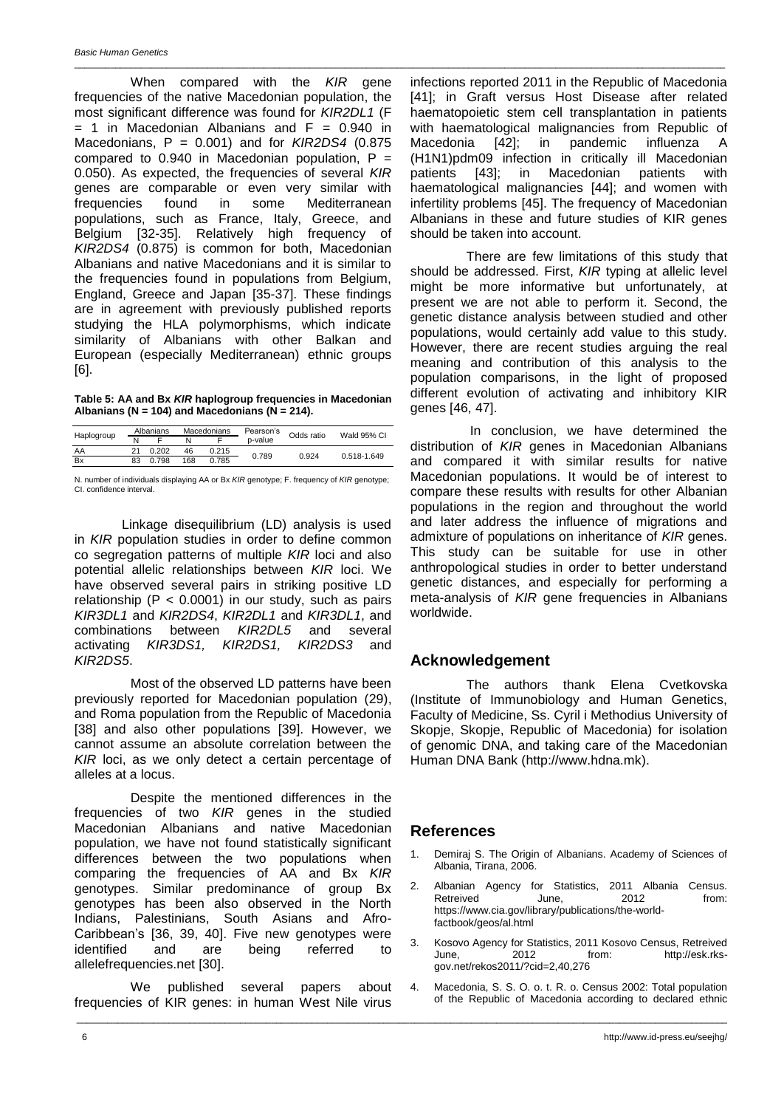When compared with the *KIR* gene frequencies of the native Macedonian population, the most significant difference was found for *KIR2DL1* (F  $= 1$  in Macedonian Albanians and  $F = 0.940$  in Macedonians, P = 0.001) and for *KIR2DS4* (0.875 compared to  $0.940$  in Macedonian population,  $P =$ 0.050). As expected, the frequencies of several *KIR* genes are comparable or even very similar with frequencies found in some Mediterranean populations, such as France, Italy, Greece, and Belgium [32-35]. Relatively high frequency of *KIR2DS4* (0.875) is common for both, Macedonian Albanians and native Macedonians and it is similar to the frequencies found in populations from Belgium, England, Greece and Japan [35-37]. These findings are in agreement with previously published reports studying the HLA polymorphisms, which indicate similarity of Albanians with other Balkan and European (especially Mediterranean) ethnic groups [6].

#### **Table 5: AA and Bx** *KIR* **haplogroup frequencies in Macedonian Albanians (N = 104) and Macedonians (N = 214).**

|            |    | Albanians |     | <b>Macedonians</b> | Pearson's | Odds ratio | Wald 95% CI |  |
|------------|----|-----------|-----|--------------------|-----------|------------|-------------|--|
| Haplogroup |    |           |     |                    | p-value   |            |             |  |
| AA         |    | 0.202     | 46  | 0.215              | 0.789     | 0.924      | 0.518-1.649 |  |
| <b>Bx</b>  | 83 | 0.798     | 168 | 0.785              |           |            |             |  |

N. number of individuals displaying AA or Bx *KIR* genotype; F. frequency of *KIR* genotype; CI. confidence interval.

Linkage disequilibrium (LD) analysis is used in *KIR* population studies in order to define common co segregation patterns of multiple *KIR* loci and also potential allelic relationships between *KIR* loci. We have observed several pairs in striking positive LD relationship ( $P < 0.0001$ ) in our study, such as pairs *KIR3DL1* and *KIR2DS4*, *KIR2DL1* and *KIR3DL1*, and combinations between *KIR2DL5* and several activating *KIR3DS1, KIR2DS1, KIR2DS3* and *KIR2DS5*.

Most of the observed LD patterns have been previously reported for Macedonian population (29), and Roma population from the Republic of Macedonia [38] and also other populations [39]. However, we cannot assume an absolute correlation between the *KIR* loci, as we only detect a certain percentage of alleles at a locus.

Despite the mentioned differences in the frequencies of two *KIR* genes in the studied Macedonian Albanians and native Macedonian population, we have not found statistically significant differences between the two populations when comparing the frequencies of AA and Bx *KIR* genotypes. Similar predominance of group Bx genotypes has been also observed in the North Indians, Palestinians, South Asians and Afro-Caribbean's [36, 39, 40]. Five new genotypes were identified and are being referred to allelefrequencies.net [30].

We published several papers about frequencies of KIR genes: in human West Nile virus

infections reported 2011 in the Republic of Macedonia [41]; in Graft versus Host Disease after related haematopoietic stem cell transplantation in patients with haematological malignancies from Republic of Macedonia [42]; in pandemic influenza A (H1N1)pdm09 infection in critically ill Macedonian patients [43]; in Macedonian patients with haematological malignancies [44]; and women with infertility problems [45]. The frequency of Macedonian Albanians in these and future studies of KIR genes should be taken into account.

\_\_\_\_\_\_\_\_\_\_\_\_\_\_\_\_\_\_\_\_\_\_\_\_\_\_\_\_\_\_\_\_\_\_\_\_\_\_\_\_\_\_\_\_\_\_\_\_\_\_\_\_\_\_\_\_\_\_\_\_\_\_\_\_\_\_\_\_\_\_\_\_\_\_\_\_\_\_\_\_\_\_\_\_\_\_\_\_\_\_\_\_\_\_\_\_\_\_\_\_\_\_\_\_\_\_\_\_\_\_\_\_\_\_\_\_\_\_\_\_\_\_\_\_\_\_\_

There are few limitations of this study that should be addressed. First, *KIR* typing at allelic level might be more informative but unfortunately, at present we are not able to perform it. Second, the genetic distance analysis between studied and other populations, would certainly add value to this study. However, there are recent studies arguing the real meaning and contribution of this analysis to the population comparisons, in the light of proposed different evolution of activating and inhibitory KIR genes [46, 47].

In conclusion, we have determined the distribution of *KIR* genes in Macedonian Albanians and compared it with similar results for native Macedonian populations. It would be of interest to compare these results with results for other Albanian populations in the region and throughout the world and later address the influence of migrations and admixture of populations on inheritance of *KIR* genes. This study can be suitable for use in other anthropological studies in order to better understand genetic distances, and especially for performing a meta-analysis of *KIR* gene frequencies in Albanians worldwide.

## **Acknowledgement**

The authors thank Elena Cvetkovska (Institute of Immunobiology and Human Genetics, Faculty of Medicine, Ss. Cyril i Methodius University of Skopje, Skopje, Republic of Macedonia) for isolation of genomic DNA, and taking care of the Macedonian Human DNA Bank (http://www.hdna.mk).

### **References**

\_\_\_\_\_\_\_\_\_\_\_\_\_\_\_\_\_\_\_\_\_\_\_\_\_\_\_\_\_\_\_\_\_\_\_\_\_\_\_\_\_\_\_\_\_\_\_\_\_\_\_\_\_\_\_\_\_\_\_\_\_\_\_\_\_\_\_\_\_\_\_\_\_\_\_\_\_\_\_\_\_\_\_\_\_\_\_\_\_\_\_\_\_\_\_\_\_\_\_\_\_\_\_\_\_\_\_\_\_\_\_\_\_\_\_\_\_\_\_\_\_\_\_\_\_\_\_

- Demiraj S. The Origin of Albanians. Academy of Sciences of Albania, Tirana, 2006.
- 2. Albanian Agency for Statistics, 2011 Albania Census.<br>Retreived June. 2012 from: Retreived https://www.cia.gov/library/publications/the-worldfactbook/geos/al.html
- 3. Kosovo Agency for Statistics, 2011 Kosovo Census, Retreived June, 2012 from: http://esk.rksgov.net/rekos2011/?cid=2,40,276
- 4. Macedonia, S. S. O. o. t. R. o. Census 2002: Total population of the Republic of Macedonia according to declared ethnic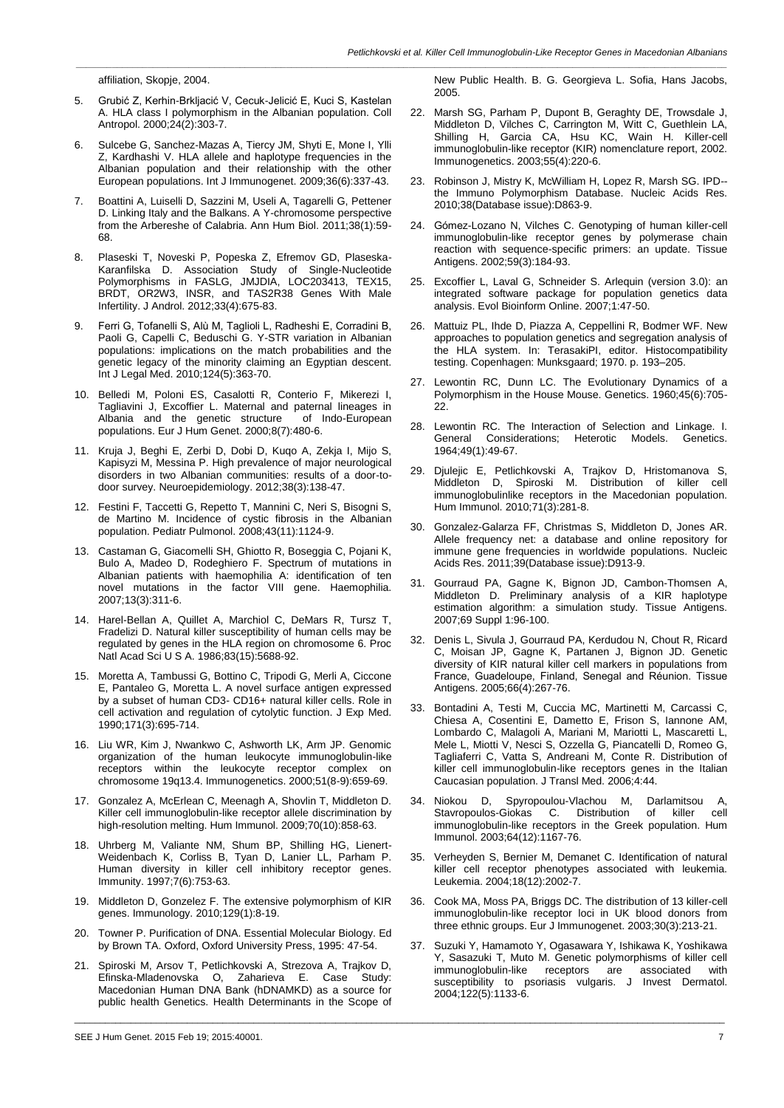affiliation, Skopje, 2004.

- 5. Grubić Z, Kerhin-Brkljacić V, Cecuk-Jelicić E, Kuci S, Kastelan A. HLA class I polymorphism in the Albanian population. Coll Antropol. 2000;24(2):303-7.
- 6. Sulcebe G, Sanchez-Mazas A, Tiercy JM, Shyti E, Mone I, Ylli Z, Kardhashi V. HLA allele and haplotype frequencies in the Albanian population and their relationship with the other European populations. Int J Immunogenet. 2009;36(6):337-43.
- 7. Boattini A, Luiselli D, Sazzini M, Useli A, Tagarelli G, Pettener D. Linking Italy and the Balkans. A Y-chromosome perspective from the Arbereshe of Calabria. Ann Hum Biol. 2011;38(1):59- 68.
- 8. Plaseski T, Noveski P, Popeska Z, Efremov GD, Plaseska-Karanfilska D. Association Study of Single-Nucleotide Polymorphisms in FASLG, JMJDIA, LOC203413, TEX15, BRDT, OR2W3, INSR, and TAS2R38 Genes With Male Infertility. J Androl. 2012;33(4):675-83.
- 9. Ferri G, Tofanelli S, Alù M, Taglioli L, Radheshi E, Corradini B, Paoli G, Capelli C, Beduschi G. Y-STR variation in Albanian populations: implications on the match probabilities and the genetic legacy of the minority claiming an Egyptian descent. Int J Legal Med. 2010;124(5):363-70.
- 10. Belledi M, Poloni ES, Casalotti R, Conterio F, Mikerezi I, Tagliavini J, Excoffier L. Maternal and paternal lineages in Albania and the genetic structure populations. Eur J Hum Genet. 2000;8(7):480-6.
- 11. Kruja J, Beghi E, Zerbi D, Dobi D, Kuqo A, Zekja I, Mijo S, Kapisyzi M, Messina P. High prevalence of major neurological disorders in two Albanian communities: results of a door-todoor survey. Neuroepidemiology. 2012;38(3):138-47.
- 12. Festini F, Taccetti G, Repetto T, Mannini C, Neri S, Bisogni S, de Martino M. Incidence of cystic fibrosis in the Albanian population. Pediatr Pulmonol. 2008;43(11):1124-9.
- 13. Castaman G, Giacomelli SH, Ghiotto R, Boseggia C, Pojani K, Bulo A, Madeo D, Rodeghiero F. Spectrum of mutations in Albanian patients with haemophilia A: identification of ten novel mutations in the factor VIII gene. Haemophilia. 2007;13(3):311-6.
- 14. Harel-Bellan A, Quillet A, Marchiol C, DeMars R, Tursz T, Fradelizi D. Natural killer susceptibility of human cells may be regulated by genes in the HLA region on chromosome 6. Proc Natl Acad Sci U S A. 1986;83(15):5688-92.
- 15. Moretta A, Tambussi G, Bottino C, Tripodi G, Merli A, Ciccone E, Pantaleo G, Moretta L. A novel surface antigen expressed by a subset of human CD3- CD16+ natural killer cells. Role in cell activation and regulation of cytolytic function. J Exp Med. 1990;171(3):695-714.
- 16. Liu WR, Kim J, Nwankwo C, Ashworth LK, Arm JP. Genomic organization of the human leukocyte immunoglobulin-like receptors within the leukocyte receptor complex on chromosome 19q13.4. Immunogenetics. 2000;51(8-9):659-69.
- 17. Gonzalez A, McErlean C, Meenagh A, Shovlin T, Middleton D. Killer cell immunoglobulin-like receptor allele discrimination by high-resolution melting. Hum Immunol. 2009;70(10):858-63.
- 18. Uhrberg M, Valiante NM, Shum BP, Shilling HG, Lienert-Weidenbach K, Corliss B, Tyan D, Lanier LL, Parham P. Human diversity in killer cell inhibitory receptor genes. Immunity. 1997;7(6):753-63.
- 19. Middleton D, Gonzelez F. The extensive polymorphism of KIR genes. Immunology. 2010;129(1):8-19.
- 20. Towner P. Purification of DNA. Essential Molecular Biology. Ed by Brown TA. Oxford, Oxford University Press, 1995: 47-54.
- 21. Spiroski M, Arsov T, Petlichkovski A, Strezova A, Trajkov D, Efinska-Mladenovska O, Zaharieva E. Case Study: Macedonian Human DNA Bank (hDNAMKD) as a source for public health Genetics. Health Determinants in the Scope of

\_\_\_\_\_\_\_\_\_\_\_\_\_\_\_\_\_\_\_\_\_\_\_\_\_\_\_\_\_\_\_\_\_\_\_\_\_\_\_\_\_\_\_\_\_\_\_\_\_\_\_\_\_\_\_\_\_\_\_\_\_\_\_\_\_\_\_\_\_\_\_\_\_\_\_\_\_\_\_\_\_\_\_\_\_\_\_\_\_\_\_\_\_\_\_\_\_\_\_\_\_\_\_\_\_\_\_\_\_\_\_\_\_\_\_\_\_\_\_\_\_\_\_\_\_\_\_

New Public Health. B. G. Georgieva L. Sofia, Hans Jacobs, 2005.

- 22. Marsh SG, Parham P, Dupont B, Geraghty DE, Trowsdale J, Middleton D, Vilches C, Carrington M, Witt C, Guethlein LA, Shilling H, Garcia CA, Hsu KC, Wain H. Killer-cell immunoglobulin-like receptor (KIR) nomenclature report, 2002. Immunogenetics. 2003;55(4):220-6.
- 23. Robinson J, Mistry K, McWilliam H, Lopez R, Marsh SG. IPD- the Immuno Polymorphism Database. Nucleic Acids Res. 2010;38(Database issue):D863-9.
- 24. Gómez-Lozano N, Vilches C. Genotyping of human killer-cell immunoglobulin-like receptor genes by polymerase chain reaction with sequence-specific primers: an update. Tissue Antigens. 2002;59(3):184-93.
- 25. Excoffier L, Laval G, Schneider S. Arlequin (version 3.0): an integrated software package for population genetics data analysis. Evol Bioinform Online. 2007;1:47-50.
- 26. Mattuiz PL, Ihde D, Piazza A, Ceppellini R, Bodmer WF. New approaches to population genetics and segregation analysis of the HLA system. In: TerasakiPI, editor. Histocompatibility testing. Copenhagen: Munksgaard; 1970. p. 193–205.
- 27. Lewontin RC, Dunn LC. The Evolutionary Dynamics of a Polymorphism in the House Mouse. Genetics. 1960;45(6):705- 22.
- 28. Lewontin RC. The Interaction of Selection and Linkage. I. General Considerations; Heterotic Models. Genetics. 1964;49(1):49-67.
- 29. Djulejic E, Petlichkovski A, Trajkov D, Hristomanova S, Middleton D, Spiroski M. Distribution of killer cell immunoglobulinlike receptors in the Macedonian population. Hum Immunol. 2010;71(3):281-8.
- 30. Gonzalez-Galarza FF, Christmas S, Middleton D, Jones AR. Allele frequency net: a database and online repository for immune gene frequencies in worldwide populations. Nucleic Acids Res. 2011;39(Database issue):D913-9.
- 31. Gourraud PA, Gagne K, Bignon JD, Cambon-Thomsen A, Middleton D. Preliminary analysis of a KIR haplotype estimation algorithm: a simulation study. Tissue Antigens. 2007;69 Suppl 1:96-100.
- 32. Denis L, Sivula J, Gourraud PA, Kerdudou N, Chout R, Ricard C, Moisan JP, Gagne K, Partanen J, Bignon JD. Genetic diversity of KIR natural killer cell markers in populations from France, Guadeloupe, Finland, Senegal and Réunion. Tissue Antigens. 2005;66(4):267-76.
- 33. Bontadini A, Testi M, Cuccia MC, Martinetti M, Carcassi C, Chiesa A, Cosentini E, Dametto E, Frison S, Iannone AM, Lombardo C, Malagoli A, Mariani M, Mariotti L, Mascaretti L, Mele L, Miotti V, Nesci S, Ozzella G, Piancatelli D, Romeo G, Tagliaferri C, Vatta S, Andreani M, Conte R. Distribution of killer cell immunoglobulin-like receptors genes in the Italian Caucasian population. J Transl Med. 2006;4:44.
- 34. Niokou D, Spyropoulou-Vlachou M, Darlamitsou A, Stavropoulos-Giokas C. Distribution immunoglobulin-like receptors in the Greek population. Hum Immunol. 2003;64(12):1167-76.
- 35. Verheyden S, Bernier M, Demanet C. Identification of natural killer cell receptor phenotypes associated with leukemia. Leukemia. 2004;18(12):2002-7.
- 36. Cook MA, Moss PA, Briggs DC. The distribution of 13 killer-cell immunoglobulin-like receptor loci in UK blood donors from three ethnic groups. Eur J Immunogenet. 2003;30(3):213-21.
- 37. Suzuki Y, Hamamoto Y, Ogasawara Y, Ishikawa K, Yoshikawa Y, Sasazuki T, Muto M. Genetic polymorphisms of killer cell immunoglobulin-like receptors are associated with susceptibility to psoriasis vulgaris. J Invest Dermatol. 2004;122(5):1133-6.

SEE J Hum Genet. 2015 Feb 19; 2015:40001. 7